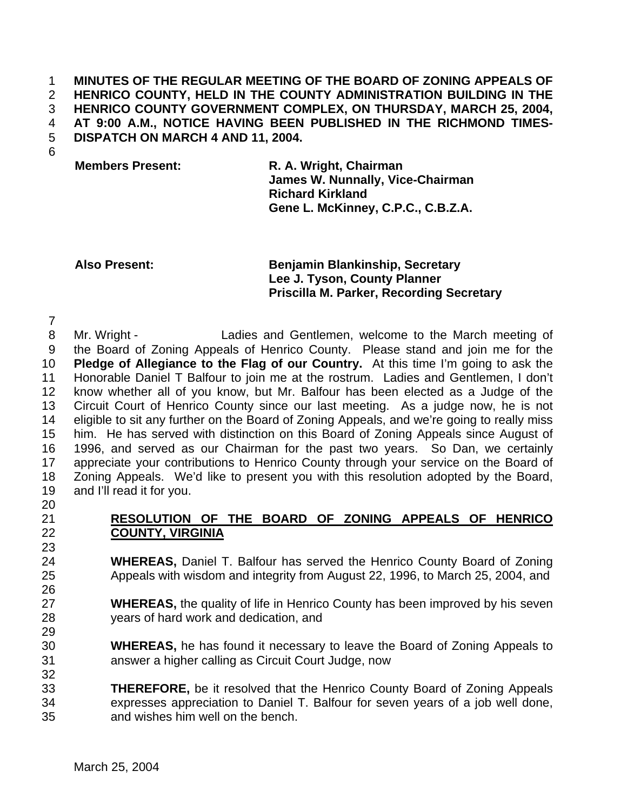## **MINUTES OF THE REGULAR MEETING OF THE BOARD OF ZONING APPEALS OF HENRICO COUNTY, HELD IN THE COUNTY ADMINISTRATION BUILDING IN THE HENRICO COUNTY GOVERNMENT COMPLEX, ON THURSDAY, MARCH 25, 2004, AT 9:00 A.M., NOTICE HAVING BEEN PUBLISHED IN THE RICHMOND TIMES-DISPATCH ON MARCH 4 AND 11, 2004.**

**Members Present: R. A. Wright, Chairman James W. Nunnally, Vice-Chairman Richard Kirkland Gene L. McKinney, C.P.C., C.B.Z.A.**

## **Also Present: Benjamin Blankinship, Secretary Lee J. Tyson, County Planner Priscilla M. Parker, Recording Secretary**

 Mr. Wright - Ladies and Gentlemen, welcome to the March meeting of the Board of Zoning Appeals of Henrico County. Please stand and join me for the **Pledge of Allegiance to the Flag of our Country.** At this time I'm going to ask the Honorable Daniel T Balfour to join me at the rostrum. Ladies and Gentlemen, I don't know whether all of you know, but Mr. Balfour has been elected as a Judge of the Circuit Court of Henrico County since our last meeting. As a judge now, he is not eligible to sit any further on the Board of Zoning Appeals, and we're going to really miss him. He has served with distinction on this Board of Zoning Appeals since August of 1996, and served as our Chairman for the past two years. So Dan, we certainly 17 appreciate your contributions to Henrico County through your service on the Board of Zoning Appeals. We'd like to present you with this resolution adopted by the Board, and I'll read it for you. 

- **RESOLUTION OF THE BOARD OF ZONING APPEALS OF HENRICO COUNTY, VIRGINIA**
- **WHEREAS,** Daniel T. Balfour has served the Henrico County Board of Zoning Appeals with wisdom and integrity from August 22, 1996, to March 25, 2004, and
- **WHEREAS,** the quality of life in Henrico County has been improved by his seven years of hard work and dedication, and
- **WHEREAS,** he has found it necessary to leave the Board of Zoning Appeals to answer a higher calling as Circuit Court Judge, now
- **THEREFORE,** be it resolved that the Henrico County Board of Zoning Appeals expresses appreciation to Daniel T. Balfour for seven years of a job well done, and wishes him well on the bench.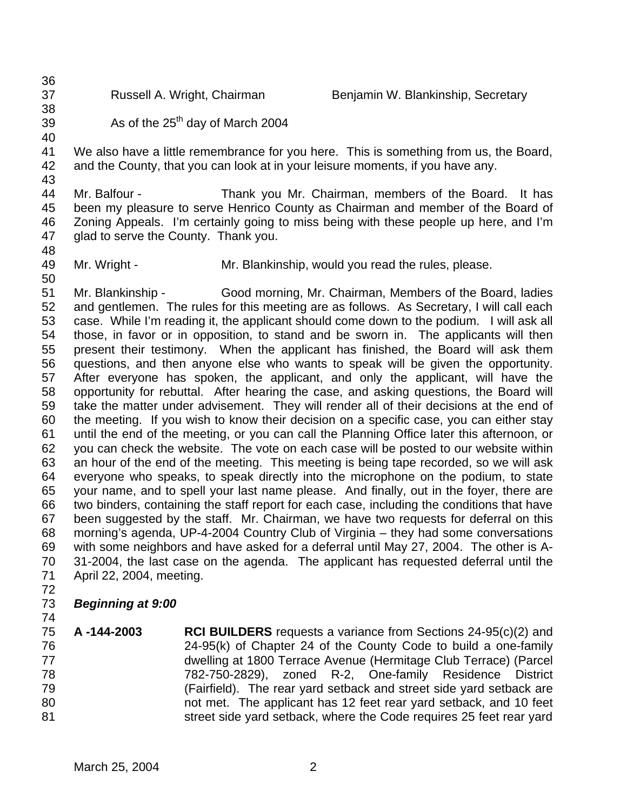Russell A. Wright, Chairman Benjamin W. Blankinship, Secretary

 

39  $\mu$  As of the 25<sup>th</sup> day of March 2004

 We also have a little remembrance for you here. This is something from us, the Board, and the County, that you can look at in your leisure moments, if you have any.

 Mr. Balfour - Thank you Mr. Chairman, members of the Board. It has been my pleasure to serve Henrico County as Chairman and member of the Board of Zoning Appeals. I'm certainly going to miss being with these people up here, and I'm glad to serve the County. Thank you.

Mr. Wright - Mr. Blankinship, would you read the rules, please.

 Mr. Blankinship - Good morning, Mr. Chairman, Members of the Board, ladies and gentlemen. The rules for this meeting are as follows. As Secretary, I will call each case. While I'm reading it, the applicant should come down to the podium. I will ask all those, in favor or in opposition, to stand and be sworn in. The applicants will then present their testimony. When the applicant has finished, the Board will ask them questions, and then anyone else who wants to speak will be given the opportunity. After everyone has spoken, the applicant, and only the applicant, will have the opportunity for rebuttal. After hearing the case, and asking questions, the Board will take the matter under advisement. They will render all of their decisions at the end of the meeting. If you wish to know their decision on a specific case, you can either stay until the end of the meeting, or you can call the Planning Office later this afternoon, or you can check the website. The vote on each case will be posted to our website within an hour of the end of the meeting. This meeting is being tape recorded, so we will ask everyone who speaks, to speak directly into the microphone on the podium, to state your name, and to spell your last name please. And finally, out in the foyer, there are two binders, containing the staff report for each case, including the conditions that have been suggested by the staff. Mr. Chairman, we have two requests for deferral on this morning's agenda, UP-4-2004 Country Club of Virginia – they had some conversations with some neighbors and have asked for a deferral until May 27, 2004. The other is A- 31-2004, the last case on the agenda. The applicant has requested deferral until the April 22, 2004, meeting.

- 
- *Beginning at 9:00*
- 

 **A -144-2003 RCI BUILDERS** requests a variance from Sections 24-95(c)(2) and 24-95(k) of Chapter 24 of the County Code to build a one-family dwelling at 1800 Terrace Avenue (Hermitage Club Terrace) (Parcel 782-750-2829), zoned R-2, One-family Residence District (Fairfield). The rear yard setback and street side yard setback are not met. The applicant has 12 feet rear yard setback, and 10 feet **Street side yard setback, where the Code requires 25 feet rear yard**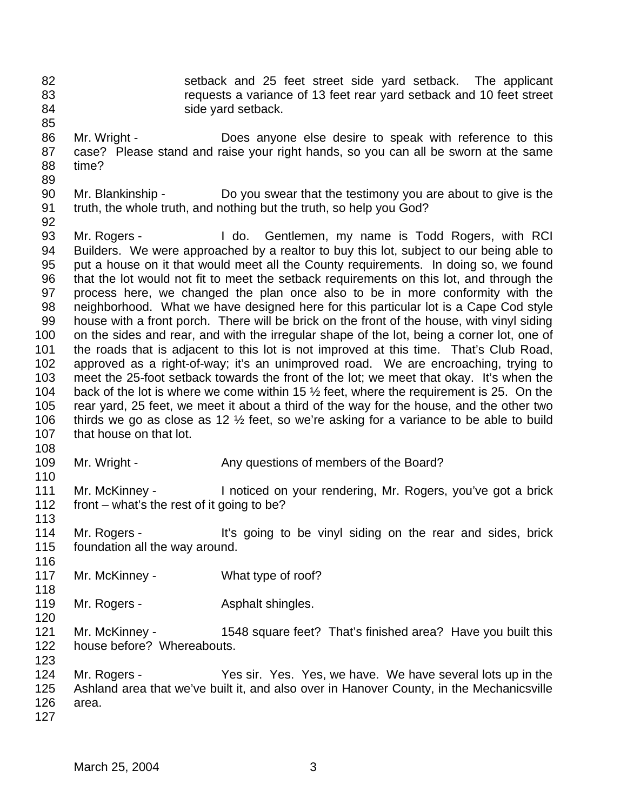- 
- 

 setback and 25 feet street side yard setback. The applicant requests a variance of 13 feet rear yard setback and 10 feet street 84 side yard setback.

- Mr. Wright - Does anyone else desire to speak with reference to this case? Please stand and raise your right hands, so you can all be sworn at the same time?
- 
- Mr. Blankinship Do you swear that the testimony you are about to give is the truth, the whole truth, and nothing but the truth, so help you God?
- 

 Mr. Rogers - I do. Gentlemen, my name is Todd Rogers, with RCI Builders. We were approached by a realtor to buy this lot, subject to our being able to put a house on it that would meet all the County requirements. In doing so, we found that the lot would not fit to meet the setback requirements on this lot, and through the process here, we changed the plan once also to be in more conformity with the neighborhood. What we have designed here for this particular lot is a Cape Cod style house with a front porch. There will be brick on the front of the house, with vinyl siding 100 on the sides and rear, and with the irregular shape of the lot, being a corner lot, one of the roads that is adjacent to this lot is not improved at this time. That's Club Road, approved as a right-of-way; it's an unimproved road. We are encroaching, trying to meet the 25-foot setback towards the front of the lot; we meet that okay. It's when the back of the lot is where we come within 15 ½ feet, where the requirement is 25. On the rear yard, 25 feet, we meet it about a third of the way for the house, and the other two thirds we go as close as 12 ½ feet, so we're asking for a variance to be able to build 107 that house on that lot.

- 
- 
- 109 Mr. Wright Any questions of members of the Board?

 Mr. McKinney - I noticed on your rendering, Mr. Rogers, you've got a brick front – what's the rest of it going to be? 

114 Mr. Rogers - It's going to be vinyl siding on the rear and sides, brick foundation all the way around. 

- 117 Mr. McKinney What type of roof?
- 119 Mr. Rogers **Asphalt shingles.**
- Mr. McKinney 1548 square feet? That's finished area? Have you built this house before? Whereabouts.
- 

- Mr. Rogers Yes sir. Yes. Yes, we have. We have several lots up in the Ashland area that we've built it, and also over in Hanover County, in the Mechanicsville area.
-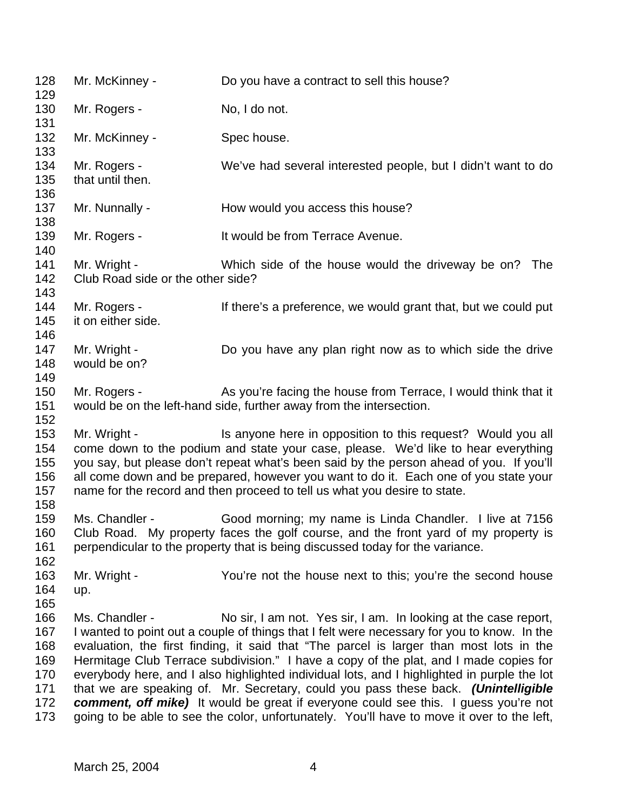| 128<br>129                                           | Mr. McKinney -                                    | Do you have a contract to sell this house?                                                                                                                                                                                                                                                                                                                                                                                                                                                                                                                                                                                                                                                                                          |
|------------------------------------------------------|---------------------------------------------------|-------------------------------------------------------------------------------------------------------------------------------------------------------------------------------------------------------------------------------------------------------------------------------------------------------------------------------------------------------------------------------------------------------------------------------------------------------------------------------------------------------------------------------------------------------------------------------------------------------------------------------------------------------------------------------------------------------------------------------------|
| 130<br>131                                           | Mr. Rogers -                                      | No, I do not.                                                                                                                                                                                                                                                                                                                                                                                                                                                                                                                                                                                                                                                                                                                       |
| 132<br>133                                           | Mr. McKinney -                                    | Spec house.                                                                                                                                                                                                                                                                                                                                                                                                                                                                                                                                                                                                                                                                                                                         |
| 134<br>135<br>136                                    | Mr. Rogers -<br>that until then.                  | We've had several interested people, but I didn't want to do                                                                                                                                                                                                                                                                                                                                                                                                                                                                                                                                                                                                                                                                        |
| 137<br>138                                           | Mr. Nunnally -                                    | How would you access this house?                                                                                                                                                                                                                                                                                                                                                                                                                                                                                                                                                                                                                                                                                                    |
| 139<br>140                                           | Mr. Rogers -                                      | It would be from Terrace Avenue.                                                                                                                                                                                                                                                                                                                                                                                                                                                                                                                                                                                                                                                                                                    |
| 141<br>142<br>143                                    | Mr. Wright -<br>Club Road side or the other side? | Which side of the house would the driveway be on? The                                                                                                                                                                                                                                                                                                                                                                                                                                                                                                                                                                                                                                                                               |
| 144<br>145<br>146                                    | Mr. Rogers -<br>it on either side.                | If there's a preference, we would grant that, but we could put                                                                                                                                                                                                                                                                                                                                                                                                                                                                                                                                                                                                                                                                      |
| 147<br>148<br>149                                    | Mr. Wright -<br>would be on?                      | Do you have any plan right now as to which side the drive                                                                                                                                                                                                                                                                                                                                                                                                                                                                                                                                                                                                                                                                           |
| 150<br>151<br>152                                    | Mr. Rogers -                                      | As you're facing the house from Terrace, I would think that it<br>would be on the left-hand side, further away from the intersection.                                                                                                                                                                                                                                                                                                                                                                                                                                                                                                                                                                                               |
| 153<br>154<br>155<br>156<br>157<br>158               | Mr. Wright -                                      | Is anyone here in opposition to this request? Would you all<br>come down to the podium and state your case, please. We'd like to hear everything<br>you say, but please don't repeat what's been said by the person ahead of you. If you'll<br>all come down and be prepared, however you want to do it. Each one of you state your<br>name for the record and then proceed to tell us what you desire to state.                                                                                                                                                                                                                                                                                                                    |
| 159<br>160<br>161<br>162                             | Ms. Chandler -                                    | Good morning; my name is Linda Chandler. I live at 7156<br>Club Road. My property faces the golf course, and the front yard of my property is<br>perpendicular to the property that is being discussed today for the variance.                                                                                                                                                                                                                                                                                                                                                                                                                                                                                                      |
| 163<br>164<br>165                                    | Mr. Wright -<br>up.                               | You're not the house next to this; you're the second house                                                                                                                                                                                                                                                                                                                                                                                                                                                                                                                                                                                                                                                                          |
| 166<br>167<br>168<br>169<br>170<br>171<br>172<br>173 | Ms. Chandler -                                    | No sir, I am not. Yes sir, I am. In looking at the case report,<br>I wanted to point out a couple of things that I felt were necessary for you to know. In the<br>evaluation, the first finding, it said that "The parcel is larger than most lots in the<br>Hermitage Club Terrace subdivision." I have a copy of the plat, and I made copies for<br>everybody here, and I also highlighted individual lots, and I highlighted in purple the lot<br>that we are speaking of. Mr. Secretary, could you pass these back. (Unintelligible<br><b>comment, off mike)</b> It would be great if everyone could see this. I guess you're not<br>going to be able to see the color, unfortunately. You'll have to move it over to the left, |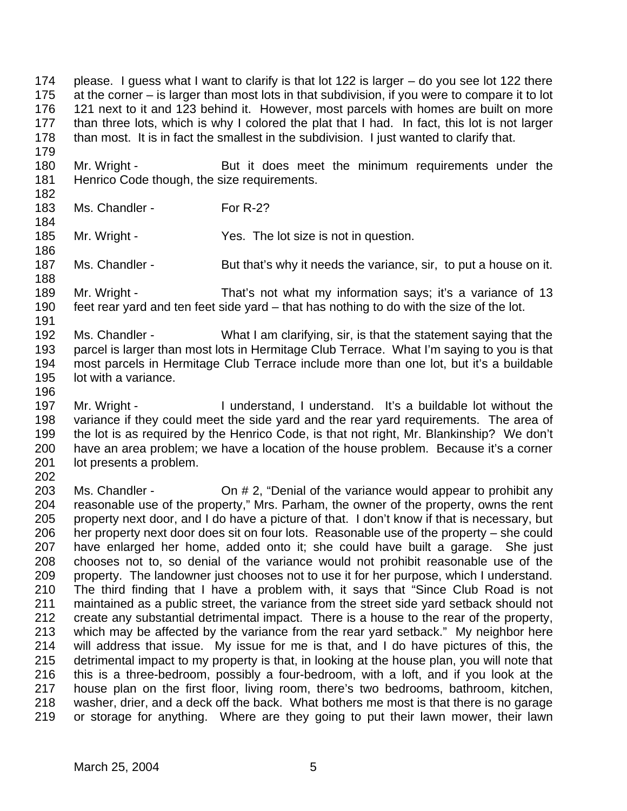please. I guess what I want to clarify is that lot 122 is larger – do you see lot 122 there at the corner – is larger than most lots in that subdivision, if you were to compare it to lot 121 next to it and 123 behind it. However, most parcels with homes are built on more than three lots, which is why I colored the plat that I had. In fact, this lot is not larger 178 than most. It is in fact the smallest in the subdivision. I just wanted to clarify that.

180 Mr. Wright - But it does meet the minimum requirements under the 181 Henrico Code though, the size requirements.

183 Ms. Chandler - For R-2?

185 Mr. Wright - Yes. The lot size is not in question.

187 Ms. Chandler - But that's why it needs the variance, sir, to put a house on it. 

 Mr. Wright - That's not what my information says; it's a variance of 13 feet rear yard and ten feet side yard – that has nothing to do with the size of the lot. 

 Ms. Chandler - What I am clarifying, sir, is that the statement saying that the parcel is larger than most lots in Hermitage Club Terrace. What I'm saying to you is that most parcels in Hermitage Club Terrace include more than one lot, but it's a buildable lot with a variance.

 Mr. Wright - I understand, I understand. It's a buildable lot without the variance if they could meet the side yard and the rear yard requirements. The area of the lot is as required by the Henrico Code, is that not right, Mr. Blankinship? We don't have an area problem; we have a location of the house problem. Because it's a corner lot presents a problem.

 Ms. Chandler - On # 2, "Denial of the variance would appear to prohibit any reasonable use of the property," Mrs. Parham, the owner of the property, owns the rent property next door, and I do have a picture of that. I don't know if that is necessary, but her property next door does sit on four lots. Reasonable use of the property – she could have enlarged her home, added onto it; she could have built a garage. She just chooses not to, so denial of the variance would not prohibit reasonable use of the property. The landowner just chooses not to use it for her purpose, which I understand. The third finding that I have a problem with, it says that "Since Club Road is not maintained as a public street, the variance from the street side yard setback should not create any substantial detrimental impact. There is a house to the rear of the property, which may be affected by the variance from the rear yard setback." My neighbor here will address that issue. My issue for me is that, and I do have pictures of this, the detrimental impact to my property is that, in looking at the house plan, you will note that this is a three-bedroom, possibly a four-bedroom, with a loft, and if you look at the house plan on the first floor, living room, there's two bedrooms, bathroom, kitchen, washer, drier, and a deck off the back. What bothers me most is that there is no garage or storage for anything. Where are they going to put their lawn mower, their lawn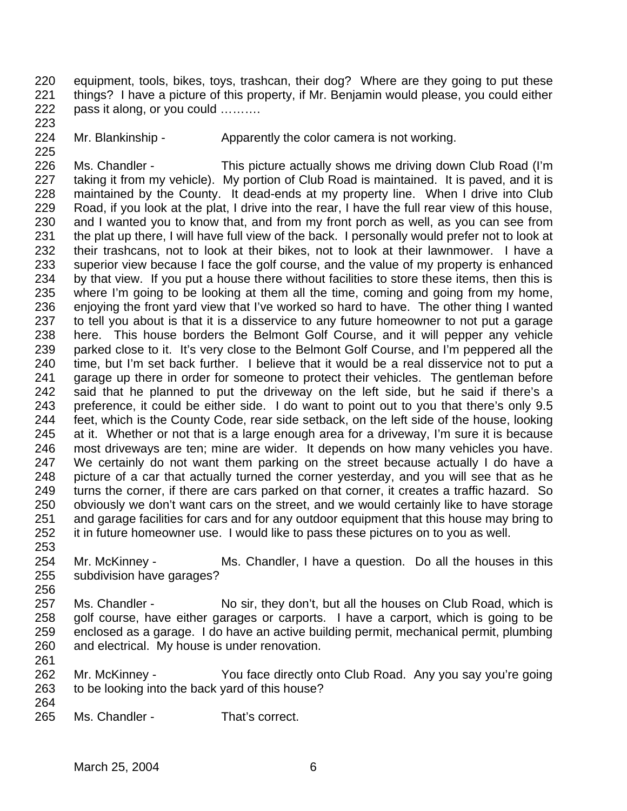equipment, tools, bikes, toys, trashcan, their dog? Where are they going to put these things? I have a picture of this property, if Mr. Benjamin would please, you could either pass it along, or you could ………. 

224 Mr. Blankinship - Apparently the color camera is not working.

 Ms. Chandler - This picture actually shows me driving down Club Road (I'm taking it from my vehicle). My portion of Club Road is maintained. It is paved, and it is maintained by the County. It dead-ends at my property line. When I drive into Club Road, if you look at the plat, I drive into the rear, I have the full rear view of this house, and I wanted you to know that, and from my front porch as well, as you can see from the plat up there, I will have full view of the back. I personally would prefer not to look at their trashcans, not to look at their bikes, not to look at their lawnmower. I have a superior view because I face the golf course, and the value of my property is enhanced by that view. If you put a house there without facilities to store these items, then this is where I'm going to be looking at them all the time, coming and going from my home, enjoying the front yard view that I've worked so hard to have. The other thing I wanted to tell you about is that it is a disservice to any future homeowner to not put a garage here. This house borders the Belmont Golf Course, and it will pepper any vehicle parked close to it. It's very close to the Belmont Golf Course, and I'm peppered all the time, but I'm set back further. I believe that it would be a real disservice not to put a garage up there in order for someone to protect their vehicles. The gentleman before said that he planned to put the driveway on the left side, but he said if there's a preference, it could be either side. I do want to point out to you that there's only 9.5 feet, which is the County Code, rear side setback, on the left side of the house, looking at it. Whether or not that is a large enough area for a driveway, I'm sure it is because most driveways are ten; mine are wider. It depends on how many vehicles you have. We certainly do not want them parking on the street because actually I do have a picture of a car that actually turned the corner yesterday, and you will see that as he turns the corner, if there are cars parked on that corner, it creates a traffic hazard. So obviously we don't want cars on the street, and we would certainly like to have storage and garage facilities for cars and for any outdoor equipment that this house may bring to it in future homeowner use. I would like to pass these pictures on to you as well.

 Mr. McKinney - Ms. Chandler, I have a question. Do all the houses in this subdivision have garages?

- 257 Ms. Chandler No sir, they don't, but all the houses on Club Road, which is golf course, have either garages or carports. I have a carport, which is going to be enclosed as a garage. I do have an active building permit, mechanical permit, plumbing and electrical. My house is under renovation.
- Mr. McKinney You face directly onto Club Road. Any you say you're going to be looking into the back yard of this house?
- 

Ms. Chandler - That's correct.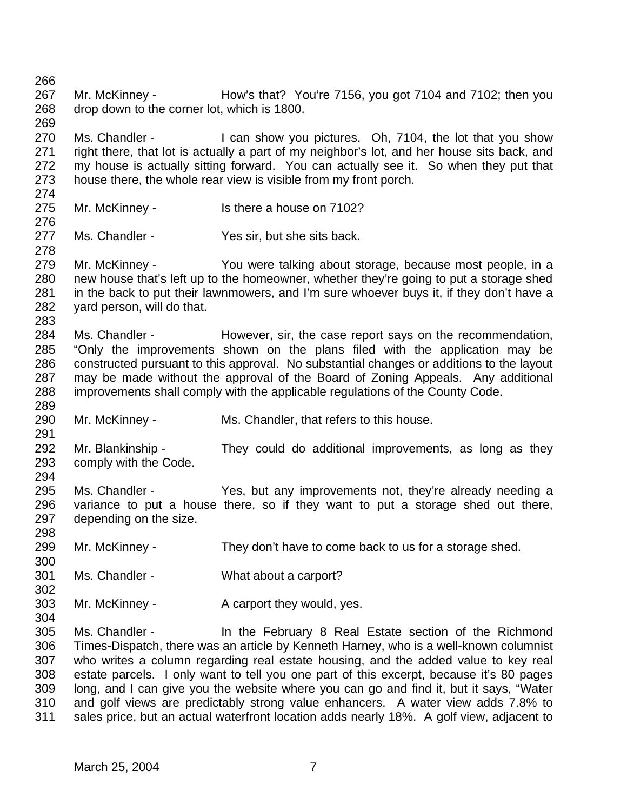Mr. McKinney - How's that? You're 7156, you got 7104 and 7102; then you drop down to the corner lot, which is 1800. 270 Ms. Chandler - I can show you pictures. Oh, 7104, the lot that you show right there, that lot is actually a part of my neighbor's lot, and her house sits back, and my house is actually sitting forward. You can actually see it. So when they put that house there, the whole rear view is visible from my front porch. Mr. McKinney - Is there a house on 7102? Ms. Chandler - Yes sir, but she sits back. Mr. McKinney - You were talking about storage, because most people, in a new house that's left up to the homeowner, whether they're going to put a storage shed in the back to put their lawnmowers, and I'm sure whoever buys it, if they don't have a yard person, will do that. 284 Ms. Chandler - However, sir, the case report says on the recommendation, "Only the improvements shown on the plans filed with the application may be constructed pursuant to this approval. No substantial changes or additions to the layout may be made without the approval of the Board of Zoning Appeals. Any additional improvements shall comply with the applicable regulations of the County Code. Mr. McKinney - Ms. Chandler, that refers to this house. Mr. Blankinship - They could do additional improvements, as long as they comply with the Code. Ms. Chandler - Yes, but any improvements not, they're already needing a variance to put a house there, so if they want to put a storage shed out there, depending on the size. Mr. McKinney - They don't have to come back to us for a storage shed. Ms. Chandler - What about a carport? 303 Mr. McKinney - A carport they would, yes. Ms. Chandler - In the February 8 Real Estate section of the Richmond Times-Dispatch, there was an article by Kenneth Harney, who is a well-known columnist who writes a column regarding real estate housing, and the added value to key real estate parcels. I only want to tell you one part of this excerpt, because it's 80 pages long, and I can give you the website where you can go and find it, but it says, "Water and golf views are predictably strong value enhancers. A water view adds 7.8% to

sales price, but an actual waterfront location adds nearly 18%. A golf view, adjacent to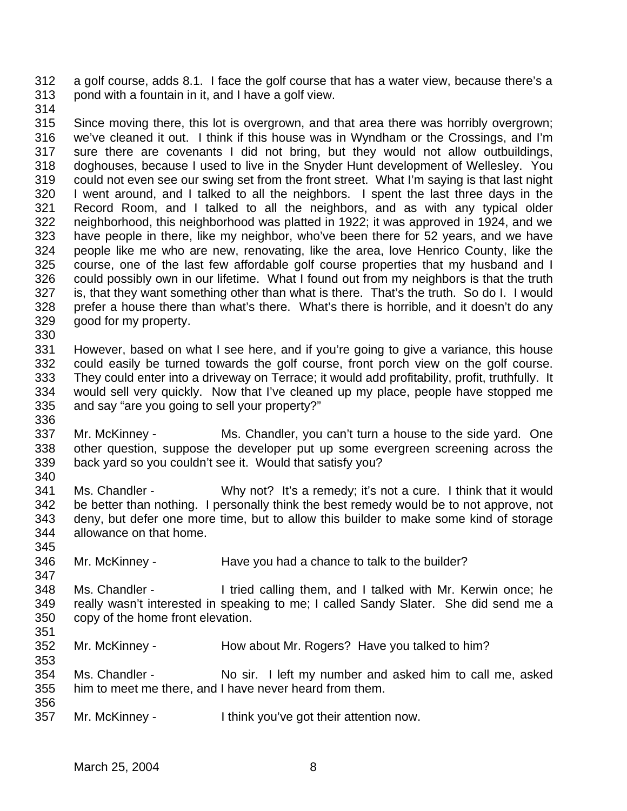a golf course, adds 8.1. I face the golf course that has a water view, because there's a pond with a fountain in it, and I have a golf view.

 Since moving there, this lot is overgrown, and that area there was horribly overgrown; we've cleaned it out. I think if this house was in Wyndham or the Crossings, and I'm sure there are covenants I did not bring, but they would not allow outbuildings, doghouses, because I used to live in the Snyder Hunt development of Wellesley. You could not even see our swing set from the front street. What I'm saying is that last night I went around, and I talked to all the neighbors. I spent the last three days in the Record Room, and I talked to all the neighbors, and as with any typical older neighborhood, this neighborhood was platted in 1922; it was approved in 1924, and we have people in there, like my neighbor, who've been there for 52 years, and we have people like me who are new, renovating, like the area, love Henrico County, like the course, one of the last few affordable golf course properties that my husband and I could possibly own in our lifetime. What I found out from my neighbors is that the truth is, that they want something other than what is there. That's the truth. So do I. I would prefer a house there than what's there. What's there is horrible, and it doesn't do any good for my property. 

 However, based on what I see here, and if you're going to give a variance, this house could easily be turned towards the golf course, front porch view on the golf course. They could enter into a driveway on Terrace; it would add profitability, profit, truthfully. It would sell very quickly. Now that I've cleaned up my place, people have stopped me and say "are you going to sell your property?" 

- Mr. McKinney Ms. Chandler, you can't turn a house to the side yard. One other question, suppose the developer put up some evergreen screening across the back yard so you couldn't see it. Would that satisfy you?
- Ms. Chandler Why not? It's a remedy; it's not a cure. I think that it would be better than nothing. I personally think the best remedy would be to not approve, not deny, but defer one more time, but to allow this builder to make some kind of storage allowance on that home.
- Mr. McKinney Have you had a chance to talk to the builder?
- Ms. Chandler I tried calling them, and I talked with Mr. Kerwin once; he really wasn't interested in speaking to me; I called Sandy Slater. She did send me a copy of the home front elevation.
- Mr. McKinney How about Mr. Rogers? Have you talked to him?
- Ms. Chandler No sir. I left my number and asked him to call me, asked him to meet me there, and I have never heard from them.
- Mr. McKinney I think you've got their attention now.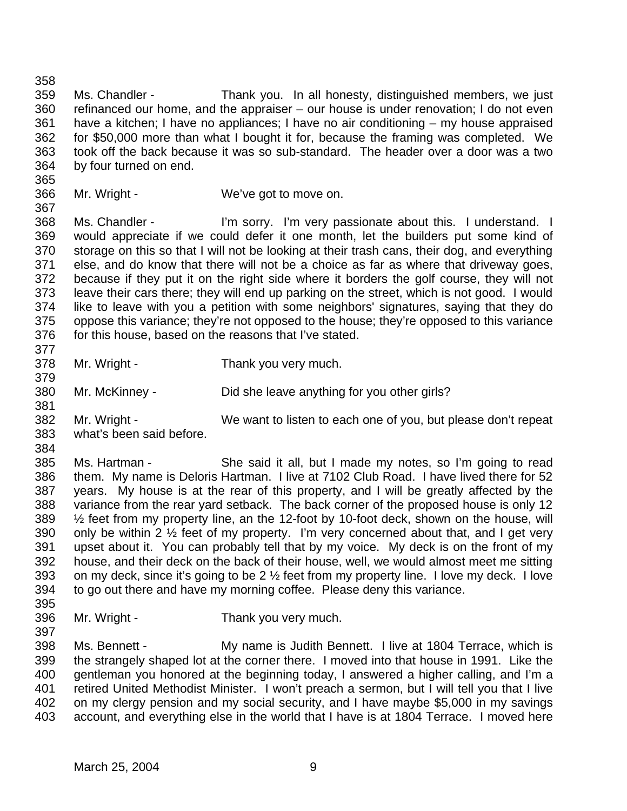Ms. Chandler - Thank you. In all honesty, distinguished members, we just refinanced our home, and the appraiser – our house is under renovation; I do not even have a kitchen; I have no appliances; I have no air conditioning – my house appraised for \$50,000 more than what I bought it for, because the framing was completed. We took off the back because it was so sub-standard. The header over a door was a two by four turned on end. 

Mr. Wright - We've got to move on.

368 Ms. Chandler - I'm sorry. I'm very passionate about this. I understand. I would appreciate if we could defer it one month, let the builders put some kind of storage on this so that I will not be looking at their trash cans, their dog, and everything else, and do know that there will not be a choice as far as where that driveway goes, because if they put it on the right side where it borders the golf course, they will not leave their cars there; they will end up parking on the street, which is not good. I would like to leave with you a petition with some neighbors' signatures, saying that they do oppose this variance; they're not opposed to the house; they're opposed to this variance for this house, based on the reasons that I've stated. 

- Mr. Wright Thank you very much.
- Mr. McKinney Did she leave anything for you other girls?
- Mr. Wright We want to listen to each one of you, but please don't repeat what's been said before.
- 

 Ms. Hartman - She said it all, but I made my notes, so I'm going to read them. My name is Deloris Hartman. I live at 7102 Club Road. I have lived there for 52 years. My house is at the rear of this property, and I will be greatly affected by the variance from the rear yard setback. The back corner of the proposed house is only 12 ½ feet from my property line, an the 12-foot by 10-foot deck, shown on the house, will 390 only be within 2  $\frac{1}{2}$  feet of my property. I'm very concerned about that, and I get very upset about it. You can probably tell that by my voice. My deck is on the front of my house, and their deck on the back of their house, well, we would almost meet me sitting on my deck, since it's going to be 2 ½ feet from my property line. I love my deck. I love to go out there and have my morning coffee. Please deny this variance. 

- Mr. Wright Thank you very much.
- Ms. Bennett - My name is Judith Bennett. I live at 1804 Terrace, which is

 the strangely shaped lot at the corner there. I moved into that house in 1991. Like the gentleman you honored at the beginning today, I answered a higher calling, and I'm a retired United Methodist Minister. I won't preach a sermon, but I will tell you that I live on my clergy pension and my social security, and I have maybe \$5,000 in my savings account, and everything else in the world that I have is at 1804 Terrace. I moved here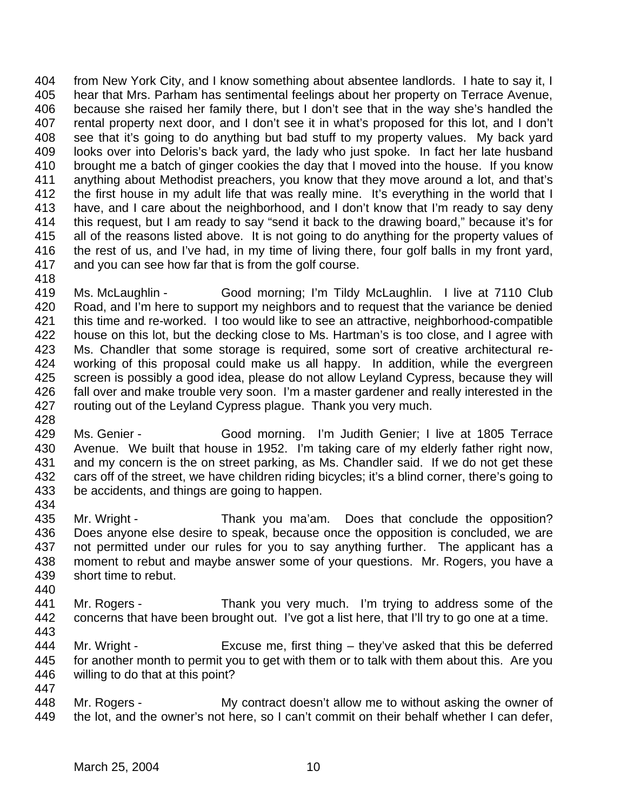from New York City, and I know something about absentee landlords. I hate to say it, I hear that Mrs. Parham has sentimental feelings about her property on Terrace Avenue, because she raised her family there, but I don't see that in the way she's handled the rental property next door, and I don't see it in what's proposed for this lot, and I don't see that it's going to do anything but bad stuff to my property values. My back yard looks over into Deloris's back yard, the lady who just spoke. In fact her late husband brought me a batch of ginger cookies the day that I moved into the house. If you know anything about Methodist preachers, you know that they move around a lot, and that's 412 the first house in my adult life that was really mine. It's everything in the world that I have, and I care about the neighborhood, and I don't know that I'm ready to say deny this request, but I am ready to say "send it back to the drawing board," because it's for all of the reasons listed above. It is not going to do anything for the property values of the rest of us, and I've had, in my time of living there, four golf balls in my front yard, and you can see how far that is from the golf course.

 Ms. McLaughlin - Good morning; I'm Tildy McLaughlin. I live at 7110 Club Road, and I'm here to support my neighbors and to request that the variance be denied this time and re-worked. I too would like to see an attractive, neighborhood-compatible house on this lot, but the decking close to Ms. Hartman's is too close, and I agree with Ms. Chandler that some storage is required, some sort of creative architectural re- working of this proposal could make us all happy. In addition, while the evergreen screen is possibly a good idea, please do not allow Leyland Cypress, because they will fall over and make trouble very soon. I'm a master gardener and really interested in the routing out of the Leyland Cypress plague. Thank you very much. 

- Ms. Genier Good morning. I'm Judith Genier; I live at 1805 Terrace Avenue. We built that house in 1952. I'm taking care of my elderly father right now, and my concern is the on street parking, as Ms. Chandler said. If we do not get these cars off of the street, we have children riding bicycles; it's a blind corner, there's going to be accidents, and things are going to happen.
- Mr. Wright Thank you ma'am. Does that conclude the opposition? Does anyone else desire to speak, because once the opposition is concluded, we are not permitted under our rules for you to say anything further. The applicant has a moment to rebut and maybe answer some of your questions. Mr. Rogers, you have a short time to rebut.
- Mr. Rogers Thank you very much. I'm trying to address some of the concerns that have been brought out. I've got a list here, that I'll try to go one at a time.
- Mr. Wright - Excuse me, first thing – they've asked that this be deferred for another month to permit you to get with them or to talk with them about this. Are you willing to do that at this point?
	- Mr. Rogers - My contract doesn't allow me to without asking the owner of 449 the lot, and the owner's not here, so I can't commit on their behalf whether I can defer,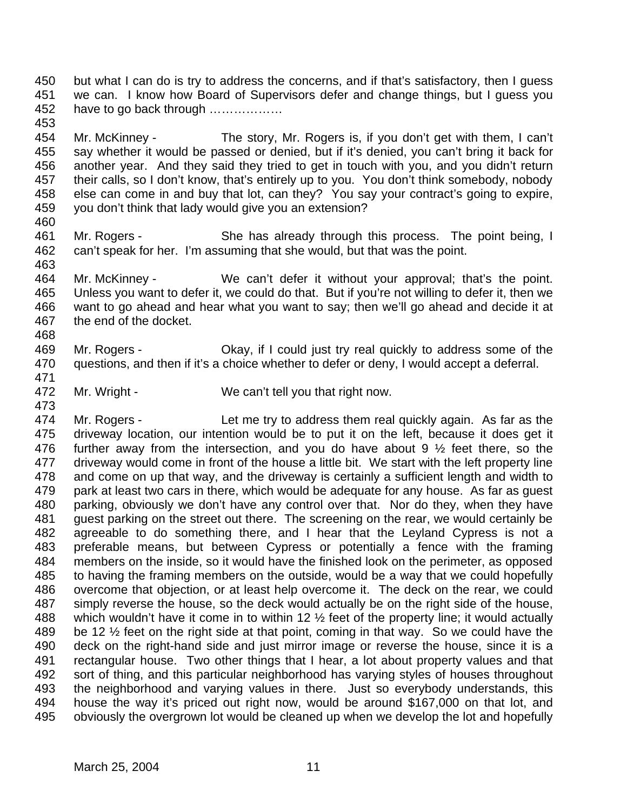but what I can do is try to address the concerns, and if that's satisfactory, then I guess we can. I know how Board of Supervisors defer and change things, but I guess you have to go back through ………………

 Mr. McKinney - The story, Mr. Rogers is, if you don't get with them, I can't say whether it would be passed or denied, but if it's denied, you can't bring it back for another year. And they said they tried to get in touch with you, and you didn't return their calls, so I don't know, that's entirely up to you. You don't think somebody, nobody else can come in and buy that lot, can they? You say your contract's going to expire, you don't think that lady would give you an extension?

461 Mr. Rogers - She has already through this process. The point being, I can't speak for her. I'm assuming that she would, but that was the point. 

 Mr. McKinney - We can't defer it without your approval; that's the point. Unless you want to defer it, we could do that. But if you're not willing to defer it, then we want to go ahead and hear what you want to say; then we'll go ahead and decide it at the end of the docket. 

 Mr. Rogers - Okay, if I could just try real quickly to address some of the questions, and then if it's a choice whether to defer or deny, I would accept a deferral. 

472 Mr. Wright - We can't tell you that right now. 

 Mr. Rogers - Let me try to address them real quickly again. As far as the driveway location, our intention would be to put it on the left, because it does get it further away from the intersection, and you do have about 9 ½ feet there, so the driveway would come in front of the house a little bit. We start with the left property line and come on up that way, and the driveway is certainly a sufficient length and width to park at least two cars in there, which would be adequate for any house. As far as guest parking, obviously we don't have any control over that. Nor do they, when they have guest parking on the street out there. The screening on the rear, we would certainly be agreeable to do something there, and I hear that the Leyland Cypress is not a preferable means, but between Cypress or potentially a fence with the framing members on the inside, so it would have the finished look on the perimeter, as opposed to having the framing members on the outside, would be a way that we could hopefully overcome that objection, or at least help overcome it. The deck on the rear, we could simply reverse the house, so the deck would actually be on the right side of the house, 488 which wouldn't have it come in to within 12  $\frac{1}{2}$  feet of the property line; it would actually be 12 ½ feet on the right side at that point, coming in that way. So we could have the deck on the right-hand side and just mirror image or reverse the house, since it is a rectangular house. Two other things that I hear, a lot about property values and that sort of thing, and this particular neighborhood has varying styles of houses throughout the neighborhood and varying values in there. Just so everybody understands, this house the way it's priced out right now, would be around \$167,000 on that lot, and obviously the overgrown lot would be cleaned up when we develop the lot and hopefully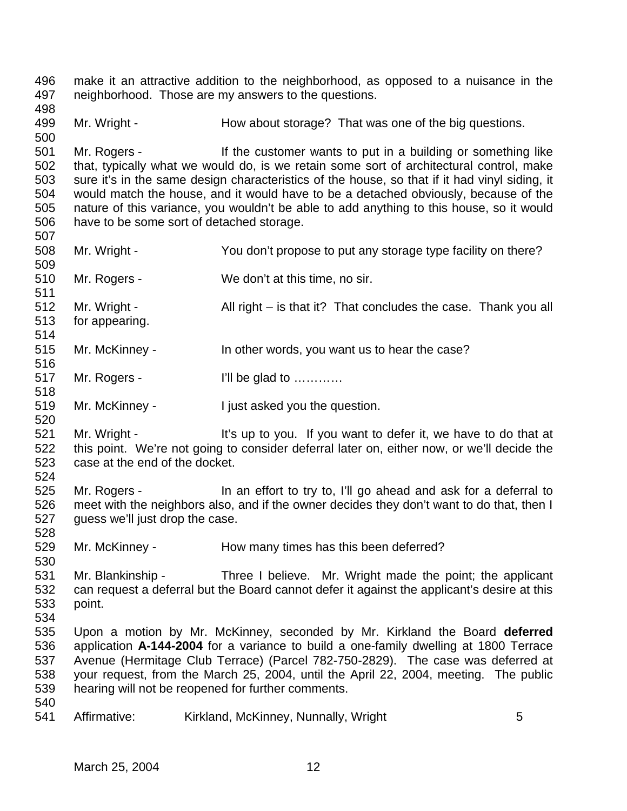neighborhood. Those are my answers to the questions. 499 Mr. Wright - How about storage? That was one of the big questions. Mr. Rogers - If the customer wants to put in a building or something like that, typically what we would do, is we retain some sort of architectural control, make sure it's in the same design characteristics of the house, so that if it had vinyl siding, it would match the house, and it would have to be a detached obviously, because of the nature of this variance, you wouldn't be able to add anything to this house, so it would have to be some sort of detached storage. Mr. Wright - You don't propose to put any storage type facility on there? Mr. Rogers - We don't at this time, no sir. 512 Mr. Wright - All right – is that it? That concludes the case. Thank you all for appearing. Mr. McKinney - In other words, you want us to hear the case? 517 Mr. Rogers - I'll be glad to ........... 519 Mr. McKinney - I just asked you the question. 521 Mr. Wright - It's up to you. If you want to defer it, we have to do that at this point. We're not going to consider deferral later on, either now, or we'll decide the case at the end of the docket. Mr. Rogers - In an effort to try to, I'll go ahead and ask for a deferral to meet with the neighbors also, and if the owner decides they don't want to do that, then I guess we'll just drop the case. Mr. McKinney - How many times has this been deferred? Mr. Blankinship - Three I believe. Mr. Wright made the point; the applicant can request a deferral but the Board cannot defer it against the applicant's desire at this point. Upon a motion by Mr. McKinney, seconded by Mr. Kirkland the Board **deferred** application **A-144-2004** for a variance to build a one-family dwelling at 1800 Terrace Avenue (Hermitage Club Terrace) (Parcel 782-750-2829). The case was deferred at your request, from the March 25, 2004, until the April 22, 2004, meeting. The public hearing will not be reopened for further comments. 541 Affirmative: Kirkland, McKinney, Nunnally, Wright 5

make it an attractive addition to the neighborhood, as opposed to a nuisance in the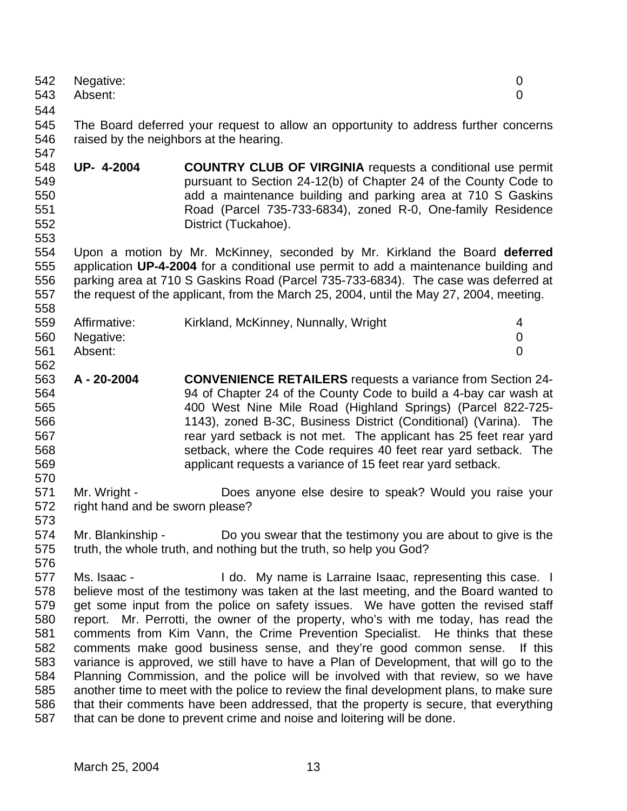| 542<br>543                                                                | Negative:<br>Absent:                            |                                                                                                                                                                                                                                                                                                                                                                                                                                                                                                                                                                                                                                                                                                                                                                                                                                                                                                                                    | 0<br>0         |
|---------------------------------------------------------------------------|-------------------------------------------------|------------------------------------------------------------------------------------------------------------------------------------------------------------------------------------------------------------------------------------------------------------------------------------------------------------------------------------------------------------------------------------------------------------------------------------------------------------------------------------------------------------------------------------------------------------------------------------------------------------------------------------------------------------------------------------------------------------------------------------------------------------------------------------------------------------------------------------------------------------------------------------------------------------------------------------|----------------|
| 544                                                                       |                                                 |                                                                                                                                                                                                                                                                                                                                                                                                                                                                                                                                                                                                                                                                                                                                                                                                                                                                                                                                    |                |
| 545<br>546<br>547                                                         |                                                 | The Board deferred your request to allow an opportunity to address further concerns<br>raised by the neighbors at the hearing.                                                                                                                                                                                                                                                                                                                                                                                                                                                                                                                                                                                                                                                                                                                                                                                                     |                |
| 548<br>549<br>550<br>551<br>552<br>553                                    | UP- 4-2004                                      | <b>COUNTRY CLUB OF VIRGINIA</b> requests a conditional use permit<br>pursuant to Section 24-12(b) of Chapter 24 of the County Code to<br>add a maintenance building and parking area at 710 S Gaskins<br>Road (Parcel 735-733-6834), zoned R-0, One-family Residence<br>District (Tuckahoe).                                                                                                                                                                                                                                                                                                                                                                                                                                                                                                                                                                                                                                       |                |
| 554<br>555<br>556<br>557<br>558                                           |                                                 | Upon a motion by Mr. McKinney, seconded by Mr. Kirkland the Board deferred<br>application UP-4-2004 for a conditional use permit to add a maintenance building and<br>parking area at 710 S Gaskins Road (Parcel 735-733-6834). The case was deferred at<br>the request of the applicant, from the March 25, 2004, until the May 27, 2004, meeting.                                                                                                                                                                                                                                                                                                                                                                                                                                                                                                                                                                                |                |
| 559<br>560                                                                | Affirmative:<br>Negative:                       | Kirkland, McKinney, Nunnally, Wright                                                                                                                                                                                                                                                                                                                                                                                                                                                                                                                                                                                                                                                                                                                                                                                                                                                                                               | 4<br>0         |
| 561<br>562                                                                | Absent:                                         |                                                                                                                                                                                                                                                                                                                                                                                                                                                                                                                                                                                                                                                                                                                                                                                                                                                                                                                                    | $\overline{0}$ |
| 563<br>564<br>565<br>566<br>567<br>568<br>569<br>570                      | A - 20-2004                                     | <b>CONVENIENCE RETAILERS</b> requests a variance from Section 24-<br>94 of Chapter 24 of the County Code to build a 4-bay car wash at<br>400 West Nine Mile Road (Highland Springs) (Parcel 822-725-<br>1143), zoned B-3C, Business District (Conditional) (Varina). The<br>rear yard setback is not met. The applicant has 25 feet rear yard<br>setback, where the Code requires 40 feet rear yard setback. The<br>applicant requests a variance of 15 feet rear yard setback.                                                                                                                                                                                                                                                                                                                                                                                                                                                    |                |
| 571<br>572<br>573                                                         | Mr. Wright -<br>right hand and be sworn please? | Does anyone else desire to speak? Would you raise your                                                                                                                                                                                                                                                                                                                                                                                                                                                                                                                                                                                                                                                                                                                                                                                                                                                                             |                |
| 574<br>575<br>576                                                         |                                                 | Mr. Blankinship - Do you swear that the testimony you are about to give is the<br>truth, the whole truth, and nothing but the truth, so help you God?                                                                                                                                                                                                                                                                                                                                                                                                                                                                                                                                                                                                                                                                                                                                                                              |                |
| 577<br>578<br>579<br>580<br>581<br>582<br>583<br>584<br>585<br>586<br>587 | Ms. Isaac -                                     | I do. My name is Larraine Isaac, representing this case. I<br>believe most of the testimony was taken at the last meeting, and the Board wanted to<br>get some input from the police on safety issues. We have gotten the revised staff<br>report. Mr. Perrotti, the owner of the property, who's with me today, has read the<br>comments from Kim Vann, the Crime Prevention Specialist. He thinks that these<br>comments make good business sense, and they're good common sense.<br>variance is approved, we still have to have a Plan of Development, that will go to the<br>Planning Commission, and the police will be involved with that review, so we have<br>another time to meet with the police to review the final development plans, to make sure<br>that their comments have been addressed, that the property is secure, that everything<br>that can be done to prevent crime and noise and loitering will be done. | If this        |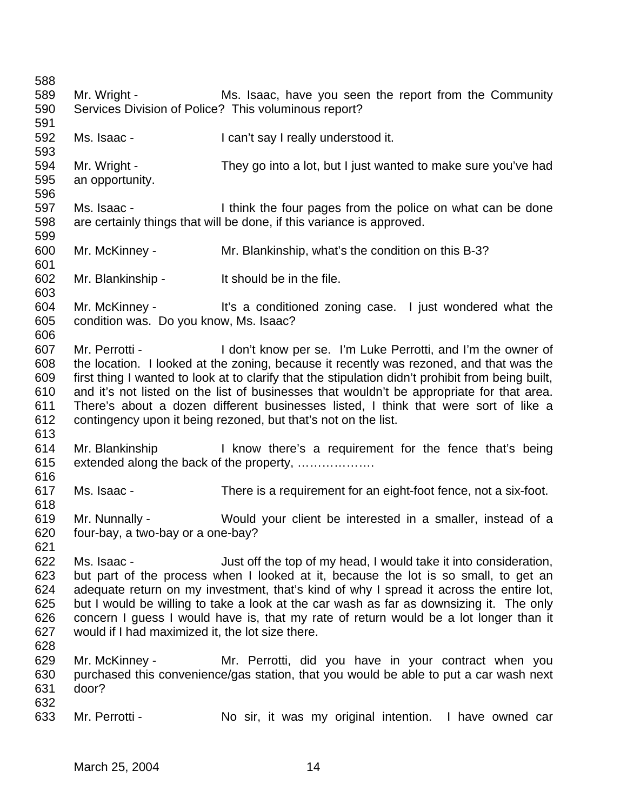| 588        |                                                  |                                                                                                                                                                                    |
|------------|--------------------------------------------------|------------------------------------------------------------------------------------------------------------------------------------------------------------------------------------|
| 589        | Mr. Wright -                                     | Ms. Isaac, have you seen the report from the Community                                                                                                                             |
| 590        |                                                  | Services Division of Police? This voluminous report?                                                                                                                               |
| 591        |                                                  |                                                                                                                                                                                    |
| 592        | Ms. Isaac -                                      | I can't say I really understood it.                                                                                                                                                |
| 593        |                                                  |                                                                                                                                                                                    |
| 594        | Mr. Wright -                                     | They go into a lot, but I just wanted to make sure you've had                                                                                                                      |
| 595        | an opportunity.                                  |                                                                                                                                                                                    |
| 596        |                                                  |                                                                                                                                                                                    |
| 597        | Ms. Isaac -                                      | I think the four pages from the police on what can be done                                                                                                                         |
| 598        |                                                  | are certainly things that will be done, if this variance is approved.                                                                                                              |
| 599        |                                                  |                                                                                                                                                                                    |
| 600        | Mr. McKinney -                                   | Mr. Blankinship, what's the condition on this B-3?                                                                                                                                 |
| 601        |                                                  |                                                                                                                                                                                    |
| 602        | Mr. Blankinship -                                | It should be in the file.                                                                                                                                                          |
| 603        |                                                  |                                                                                                                                                                                    |
| 604        |                                                  | Mr. McKinney - It's a conditioned zoning case. I just wondered what the                                                                                                            |
| 605        | condition was. Do you know, Ms. Isaac?           |                                                                                                                                                                                    |
| 606        |                                                  |                                                                                                                                                                                    |
| 607        |                                                  | Mr. Perrotti - I don't know per se. I'm Luke Perrotti, and I'm the owner of                                                                                                        |
| 608        |                                                  | the location. I looked at the zoning, because it recently was rezoned, and that was the                                                                                            |
| 609        |                                                  | first thing I wanted to look at to clarify that the stipulation didn't prohibit from being built,                                                                                  |
| 610        |                                                  | and it's not listed on the list of businesses that wouldn't be appropriate for that area.                                                                                          |
| 611        |                                                  | There's about a dozen different businesses listed, I think that were sort of like a                                                                                                |
| 612        |                                                  | contingency upon it being rezoned, but that's not on the list.                                                                                                                     |
| 613        |                                                  |                                                                                                                                                                                    |
| 614        |                                                  | Mr. Blankinship The Reform of the regular and the fence that's being                                                                                                               |
| 615        |                                                  | extended along the back of the property,                                                                                                                                           |
| 616        |                                                  |                                                                                                                                                                                    |
| 617        | Ms. Isaac -                                      | There is a requirement for an eight-foot fence, not a six-foot.                                                                                                                    |
| 618        |                                                  |                                                                                                                                                                                    |
| 619        | Mr. Nunnally -                                   | Would your client be interested in a smaller, instead of a                                                                                                                         |
| 620        | four-bay, a two-bay or a one-bay?                |                                                                                                                                                                                    |
| 621        |                                                  |                                                                                                                                                                                    |
| 622        | Ms. Isaac -                                      |                                                                                                                                                                                    |
| 623        |                                                  | Just off the top of my head, I would take it into consideration,                                                                                                                   |
| 624        |                                                  | but part of the process when I looked at it, because the lot is so small, to get an                                                                                                |
| 625        |                                                  | adequate return on my investment, that's kind of why I spread it across the entire lot,<br>but I would be willing to take a look at the car wash as far as downsizing it. The only |
| 626        |                                                  |                                                                                                                                                                                    |
|            |                                                  | concern I guess I would have is, that my rate of return would be a lot longer than it                                                                                              |
| 627        | would if I had maximized it, the lot size there. |                                                                                                                                                                                    |
| 628        |                                                  |                                                                                                                                                                                    |
| 629        | Mr. McKinney -                                   | Mr. Perrotti, did you have in your contract when you                                                                                                                               |
| 630        |                                                  | purchased this convenience/gas station, that you would be able to put a car wash next                                                                                              |
| 631<br>632 | door?                                            |                                                                                                                                                                                    |
|            |                                                  |                                                                                                                                                                                    |
| 633        | Mr. Perrotti -                                   | No sir, it was my original intention. I have owned car                                                                                                                             |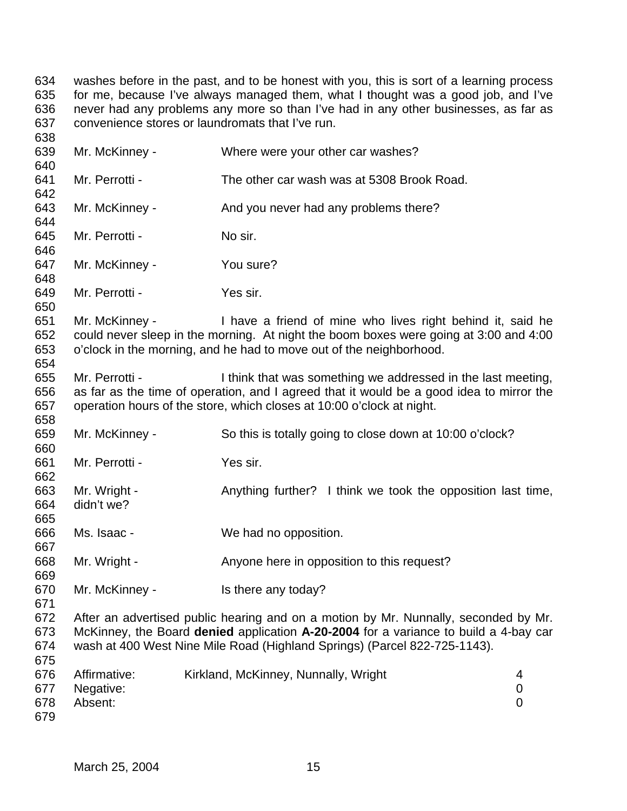634 washes before in the past, and to be honest with you, this is sort of a learning process 635 for me, because I've always managed them, what I thought was a good job, and I've for me, because I've always managed them, what I thought was a good job, and I've never had any problems any more so than I've had in any other businesses, as far as convenience stores or laundromats that I've run. 

| 639<br>640               | Mr. McKinney -                       | Where were your other car washes?                                                                                                                                                                                                                        |                                  |
|--------------------------|--------------------------------------|----------------------------------------------------------------------------------------------------------------------------------------------------------------------------------------------------------------------------------------------------------|----------------------------------|
| 641<br>642               | Mr. Perrotti -                       | The other car wash was at 5308 Brook Road.                                                                                                                                                                                                               |                                  |
| 643<br>644               | Mr. McKinney -                       | And you never had any problems there?                                                                                                                                                                                                                    |                                  |
| 645<br>646               | Mr. Perrotti -                       | No sir.                                                                                                                                                                                                                                                  |                                  |
| 647<br>648               | Mr. McKinney -                       | You sure?                                                                                                                                                                                                                                                |                                  |
| 649<br>650               | Mr. Perrotti -                       | Yes sir.                                                                                                                                                                                                                                                 |                                  |
| 651<br>652<br>653<br>654 | Mr. McKinney -                       | I have a friend of mine who lives right behind it, said he<br>could never sleep in the morning. At night the boom boxes were going at 3:00 and 4:00<br>o'clock in the morning, and he had to move out of the neighborhood.                               |                                  |
| 655<br>656<br>657<br>658 | Mr. Perrotti -                       | I think that was something we addressed in the last meeting,<br>as far as the time of operation, and I agreed that it would be a good idea to mirror the<br>operation hours of the store, which closes at 10:00 o'clock at night.                        |                                  |
| 659<br>660               | Mr. McKinney -                       | So this is totally going to close down at 10:00 o'clock?                                                                                                                                                                                                 |                                  |
| 661<br>662               | Mr. Perrotti -                       | Yes sir.                                                                                                                                                                                                                                                 |                                  |
| 663<br>664<br>665        | Mr. Wright -<br>didn't we?           | Anything further? I think we took the opposition last time,                                                                                                                                                                                              |                                  |
| 666<br>667               | Ms. Isaac -                          | We had no opposition.                                                                                                                                                                                                                                    |                                  |
| 668<br>669               | Mr. Wright -                         | Anyone here in opposition to this request?                                                                                                                                                                                                               |                                  |
| 670<br>671               | Mr. McKinney -                       | Is there any today?                                                                                                                                                                                                                                      |                                  |
| 672<br>673<br>674<br>675 |                                      | After an advertised public hearing and on a motion by Mr. Nunnally, seconded by Mr.<br>McKinney, the Board denied application A-20-2004 for a variance to build a 4-bay car<br>wash at 400 West Nine Mile Road (Highland Springs) (Parcel 822-725-1143). |                                  |
| 676<br>677<br>678<br>679 | Affirmative:<br>Negative:<br>Absent: | Kirkland, McKinney, Nunnally, Wright                                                                                                                                                                                                                     | 4<br>$\pmb{0}$<br>$\overline{0}$ |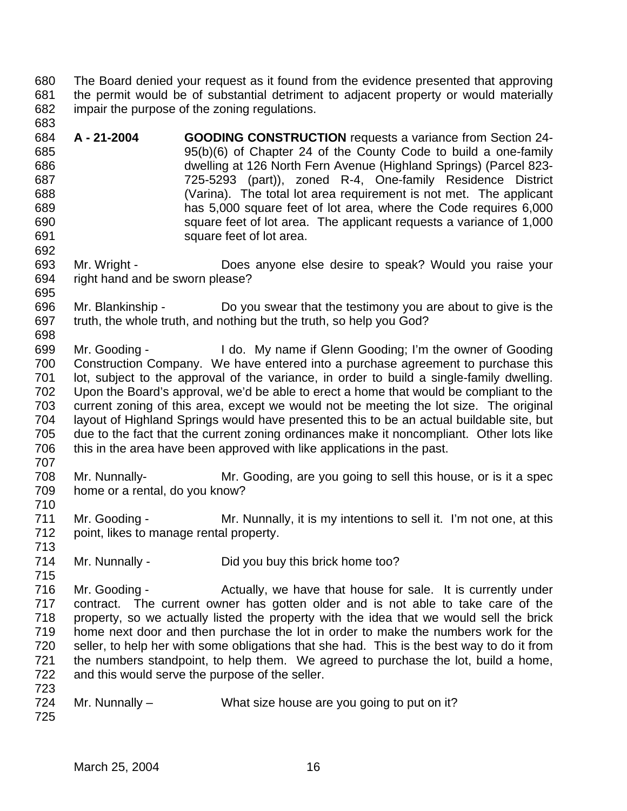The Board denied your request as it found from the evidence presented that approving the permit would be of substantial detriment to adjacent property or would materially impair the purpose of the zoning regulations. 

 **A - 21-2004 GOODING CONSTRUCTION** requests a variance from Section 24- 95(b)(6) of Chapter 24 of the County Code to build a one-family dwelling at 126 North Fern Avenue (Highland Springs) (Parcel 823- 725-5293 (part)), zoned R-4, One-family Residence District (Varina). The total lot area requirement is not met. The applicant has 5,000 square feet of lot area, where the Code requires 6,000 square feet of lot area. The applicant requests a variance of 1,000 **Square feet of lot area.** 

 Mr. Wright - Does anyone else desire to speak? Would you raise your right hand and be sworn please? 

 Mr. Blankinship - Do you swear that the testimony you are about to give is the truth, the whole truth, and nothing but the truth, so help you God? 

 Mr. Gooding - I do. My name if Glenn Gooding; I'm the owner of Gooding Construction Company. We have entered into a purchase agreement to purchase this lot, subject to the approval of the variance, in order to build a single-family dwelling. Upon the Board's approval, we'd be able to erect a home that would be compliant to the current zoning of this area, except we would not be meeting the lot size. The original layout of Highland Springs would have presented this to be an actual buildable site, but due to the fact that the current zoning ordinances make it noncompliant. Other lots like this in the area have been approved with like applications in the past.

 Mr. Nunnally- Mr. Gooding, are you going to sell this house, or is it a spec home or a rental, do you know?

 Mr. Gooding - Mr. Nunnally, it is my intentions to sell it. I'm not one, at this point, likes to manage rental property.

Mr. Nunnally - Did you buy this brick home too?

716 Mr. Gooding - Actually, we have that house for sale. It is currently under contract. The current owner has gotten older and is not able to take care of the property, so we actually listed the property with the idea that we would sell the brick home next door and then purchase the lot in order to make the numbers work for the seller, to help her with some obligations that she had. This is the best way to do it from the numbers standpoint, to help them. We agreed to purchase the lot, build a home, and this would serve the purpose of the seller. 

724 Mr. Nunnally – What size house are you going to put on it?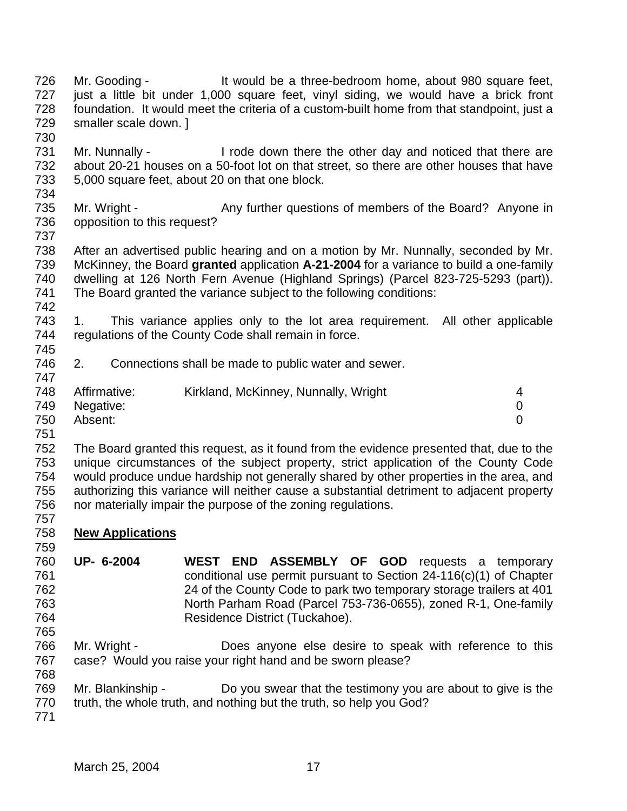- Mr. Gooding It would be a three-bedroom home, about 980 square feet, just a little bit under 1,000 square feet, vinyl siding, we would have a brick front foundation. It would meet the criteria of a custom-built home from that standpoint, just a smaller scale down. ]
- 731 Mr. Nunnally I rode down there the other day and noticed that there are about 20-21 houses on a 50-foot lot on that street, so there are other houses that have 5,000 square feet, about 20 on that one block.
- Mr. Wright Any further questions of members of the Board? Anyone in opposition to this request?
- 

 After an advertised public hearing and on a motion by Mr. Nunnally, seconded by Mr. McKinney, the Board **granted** application **A-21-2004** for a variance to build a one-family dwelling at 126 North Fern Avenue (Highland Springs) (Parcel 823-725-5293 (part)). The Board granted the variance subject to the following conditions:

- 1. This variance applies only to the lot area requirement. All other applicable regulations of the County Code shall remain in force.
- 2. Connections shall be made to public water and sewer.
- 748 Affirmative: Kirkland, McKinney, Nunnally, Wright 4 Negative: 0 Absent: 0
- 

 The Board granted this request, as it found from the evidence presented that, due to the unique circumstances of the subject property, strict application of the County Code would produce undue hardship not generally shared by other properties in the area, and authorizing this variance will neither cause a substantial detriment to adjacent property nor materially impair the purpose of the zoning regulations. 

- **New Applications**
- **UP- 6-2004 WEST END ASSEMBLY OF GOD** requests a temporary conditional use permit pursuant to Section 24-116(c)(1) of Chapter 24 of the County Code to park two temporary storage trailers at 401 North Parham Road (Parcel 753-736-0655), zoned R-1, One-family Residence District (Tuckahoe).
- Mr. Wright Does anyone else desire to speak with reference to this case? Would you raise your right hand and be sworn please?
- Mr. Blankinship Do you swear that the testimony you are about to give is the
- 770 truth, the whole truth, and nothing but the truth, so help you God?
-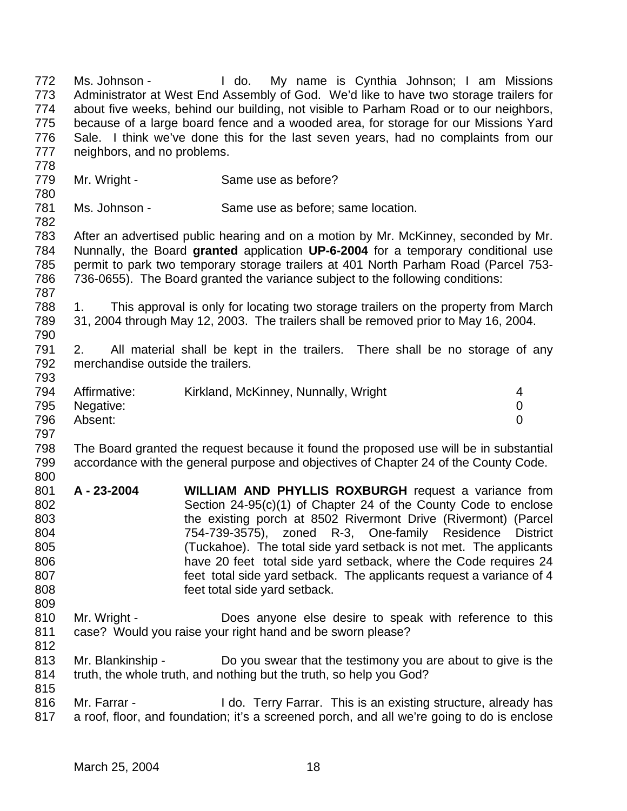Ms. Johnson - I do. My name is Cynthia Johnson; I am Missions Administrator at West End Assembly of God. We'd like to have two storage trailers for about five weeks, behind our building, not visible to Parham Road or to our neighbors, because of a large board fence and a wooded area, for storage for our Missions Yard Sale. I think we've done this for the last seven years, had no complaints from our neighbors, and no problems. 779 Mr. Wright - Same use as before? Ms. Johnson - Same use as before; same location. After an advertised public hearing and on a motion by Mr. McKinney, seconded by Mr. Nunnally, the Board **granted** application **UP-6-2004** for a temporary conditional use permit to park two temporary storage trailers at 401 North Parham Road (Parcel 753- 736-0655). The Board granted the variance subject to the following conditions: 1. This approval is only for locating two storage trailers on the property from March 31, 2004 through May 12, 2003. The trailers shall be removed prior to May 16, 2004. 2. All material shall be kept in the trailers. There shall be no storage of any merchandise outside the trailers. 794 Affirmative: Kirkland, McKinney, Nunnally, Wright 4 Negative: 0 Absent: 0 The Board granted the request because it found the proposed use will be in substantial accordance with the general purpose and objectives of Chapter 24 of the County Code. **A - 23-2004 WILLIAM AND PHYLLIS ROXBURGH** request a variance from Section 24-95(c)(1) of Chapter 24 of the County Code to enclose the existing porch at 8502 Rivermont Drive (Rivermont) (Parcel 754-739-3575), zoned R-3, One-family Residence District (Tuckahoe). The total side yard setback is not met. The applicants have 20 feet total side yard setback, where the Code requires 24 feet total side yard setback. The applicants request a variance of 4 feet total side yard setback. Mr. Wright - Does anyone else desire to speak with reference to this case? Would you raise your right hand and be sworn please? Mr. Blankinship - Do you swear that the testimony you are about to give is the truth, the whole truth, and nothing but the truth, so help you God? 816 Mr. Farrar - I do. Terry Farrar. This is an existing structure, already has a roof, floor, and foundation; it's a screened porch, and all we're going to do is enclose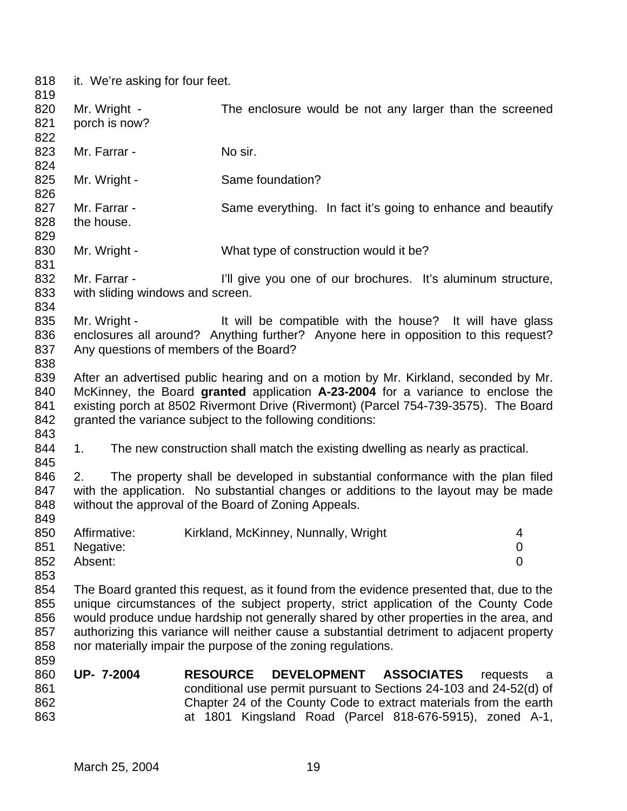it. We're asking for four feet. 818<br>819

| 819 |                                        |                                                                                           |                |
|-----|----------------------------------------|-------------------------------------------------------------------------------------------|----------------|
| 820 | Mr. Wright -                           | The enclosure would be not any larger than the screened                                   |                |
| 821 | porch is now?                          |                                                                                           |                |
| 822 |                                        |                                                                                           |                |
| 823 | Mr. Farrar -                           | No sir.                                                                                   |                |
| 824 |                                        |                                                                                           |                |
| 825 | Mr. Wright -                           | Same foundation?                                                                          |                |
| 826 |                                        |                                                                                           |                |
| 827 | Mr. Farrar -                           | Same everything. In fact it's going to enhance and beautify                               |                |
| 828 | the house.                             |                                                                                           |                |
| 829 |                                        |                                                                                           |                |
| 830 | Mr. Wright -                           | What type of construction would it be?                                                    |                |
| 831 |                                        |                                                                                           |                |
| 832 | Mr. Farrar -                           | I'll give you one of our brochures. It's aluminum structure,                              |                |
| 833 | with sliding windows and screen.       |                                                                                           |                |
| 834 |                                        |                                                                                           |                |
| 835 | Mr. Wright -                           | It will be compatible with the house? It will have glass                                  |                |
| 836 |                                        | enclosures all around? Anything further? Anyone here in opposition to this request?       |                |
| 837 | Any questions of members of the Board? |                                                                                           |                |
| 838 |                                        |                                                                                           |                |
| 839 |                                        | After an advertised public hearing and on a motion by Mr. Kirkland, seconded by Mr.       |                |
| 840 |                                        | McKinney, the Board granted application A-23-2004 for a variance to enclose the           |                |
| 841 |                                        | existing porch at 8502 Rivermont Drive (Rivermont) (Parcel 754-739-3575). The Board       |                |
| 842 |                                        | granted the variance subject to the following conditions:                                 |                |
| 843 |                                        |                                                                                           |                |
| 844 | 1.                                     | The new construction shall match the existing dwelling as nearly as practical.            |                |
| 845 |                                        |                                                                                           |                |
| 846 | 2.                                     | The property shall be developed in substantial conformance with the plan filed            |                |
| 847 |                                        | with the application. No substantial changes or additions to the layout may be made       |                |
| 848 |                                        | without the approval of the Board of Zoning Appeals.                                      |                |
| 849 |                                        |                                                                                           |                |
| 850 | Affirmative:                           | Kirkland, McKinney, Nunnally, Wright                                                      | 4              |
| 851 | Negative:                              |                                                                                           | $\overline{0}$ |
| 852 | Absent:                                |                                                                                           | 0              |
| 853 |                                        |                                                                                           |                |
| 854 |                                        | The Board granted this request, as it found from the evidence presented that, due to the  |                |
| 855 |                                        | unique circumstances of the subject property, strict application of the County Code       |                |
| 856 |                                        | would produce undue hardship not generally shared by other properties in the area, and    |                |
| 857 |                                        | authorizing this variance will neither cause a substantial detriment to adjacent property |                |
| 858 |                                        | nor materially impair the purpose of the zoning regulations.                              |                |
| 859 |                                        |                                                                                           |                |
| 860 | <b>UP-7-2004</b>                       | <b>RESOURCE</b><br><b>DEVELOPMENT</b><br><b>ASSOCIATES</b>                                | requests<br>a  |
| 861 |                                        | conditional use permit pursuant to Sections 24-103 and 24-52(d) of                        |                |
| 862 |                                        | Chapter 24 of the County Code to extract materials from the earth                         |                |
| 863 |                                        | at 1801 Kingsland Road (Parcel 818-676-5915), zoned A-1,                                  |                |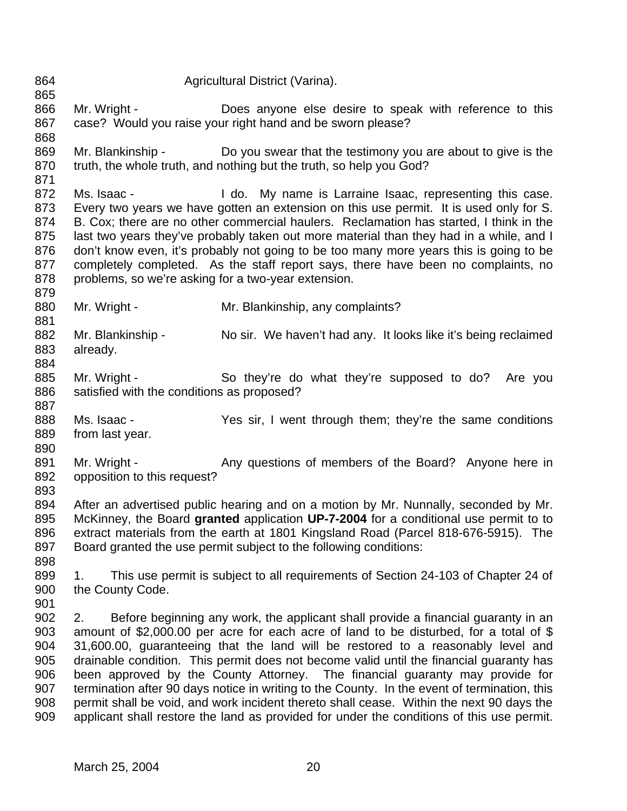Agricultural District (Varina). 866 Mr. Wright - Does anyone else desire to speak with reference to this case? Would you raise your right hand and be sworn please? 869 Mr. Blankinship - Do you swear that the testimony you are about to give is the truth, the whole truth, and nothing but the truth, so help you God? 872 Ms. Isaac - I do. My name is Larraine Isaac, representing this case. Every two years we have gotten an extension on this use permit. It is used only for S. B. Cox; there are no other commercial haulers. Reclamation has started, I think in the 875 last two years they've probably taken out more material than they had in a while, and I don't know even, it's probably not going to be too many more years this is going to be completely completed. As the staff report says, there have been no complaints, no 878 problems, so we're asking for a two-year extension. 880 Mr. Wright - Mr. Blankinship, any complaints? 882 Mr. Blankinship - No sir. We haven't had any. It looks like it's being reclaimed already. 885 Mr. Wright - So they're do what they're supposed to do? Are you satisfied with the conditions as proposed? 888 Ms. Isaac - Yes sir, I went through them; they're the same conditions from last year. 891 Mr. Wright - Any questions of members of the Board? Anyone here in opposition to this request? After an advertised public hearing and on a motion by Mr. Nunnally, seconded by Mr. McKinney, the Board **granted** application **UP-7-2004** for a conditional use permit to to extract materials from the earth at 1801 Kingsland Road (Parcel 818-676-5915). The Board granted the use permit subject to the following conditions: 1. This use permit is subject to all requirements of Section 24-103 of Chapter 24 of the County Code. 2. Before beginning any work, the applicant shall provide a financial guaranty in an amount of \$2,000.00 per acre for each acre of land to be disturbed, for a total of \$ 31,600.00, guaranteeing that the land will be restored to a reasonably level and drainable condition. This permit does not become valid until the financial guaranty has been approved by the County Attorney. The financial guaranty may provide for 907 termination after 90 days notice in writing to the County. In the event of termination, this permit shall be void, and work incident thereto shall cease. Within the next 90 days the applicant shall restore the land as provided for under the conditions of this use permit.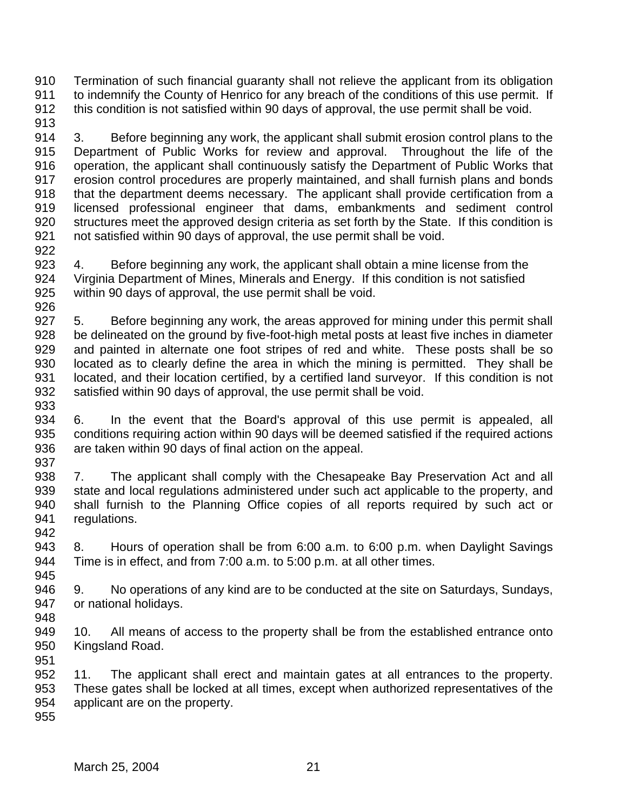Termination of such financial guaranty shall not relieve the applicant from its obligation 911 to indemnify the County of Henrico for any breach of the conditions of this use permit. If this condition is not satisfied within 90 days of approval, the use permit shall be void.

 3. Before beginning any work, the applicant shall submit erosion control plans to the Department of Public Works for review and approval. Throughout the life of the operation, the applicant shall continuously satisfy the Department of Public Works that erosion control procedures are properly maintained, and shall furnish plans and bonds 918 that the department deems necessary. The applicant shall provide certification from a licensed professional engineer that dams, embankments and sediment control structures meet the approved design criteria as set forth by the State. If this condition is not satisfied within 90 days of approval, the use permit shall be void. 

 4. Before beginning any work, the applicant shall obtain a mine license from the Virginia Department of Mines, Minerals and Energy. If this condition is not satisfied within 90 days of approval, the use permit shall be void.

 5. Before beginning any work, the areas approved for mining under this permit shall be delineated on the ground by five-foot-high metal posts at least five inches in diameter and painted in alternate one foot stripes of red and white. These posts shall be so located as to clearly define the area in which the mining is permitted. They shall be located, and their location certified, by a certified land surveyor. If this condition is not satisfied within 90 days of approval, the use permit shall be void.

 6. In the event that the Board's approval of this use permit is appealed, all conditions requiring action within 90 days will be deemed satisfied if the required actions are taken within 90 days of final action on the appeal. 

 7. The applicant shall comply with the Chesapeake Bay Preservation Act and all state and local regulations administered under such act applicable to the property, and shall furnish to the Planning Office copies of all reports required by such act or regulations. 

 8. Hours of operation shall be from 6:00 a.m. to 6:00 p.m. when Daylight Savings Time is in effect, and from 7:00 a.m. to 5:00 p.m. at all other times. 

 9. No operations of any kind are to be conducted at the site on Saturdays, Sundays, or national holidays. 

 10. All means of access to the property shall be from the established entrance onto Kingsland Road. 

 11. The applicant shall erect and maintain gates at all entrances to the property. These gates shall be locked at all times, except when authorized representatives of the applicant are on the property.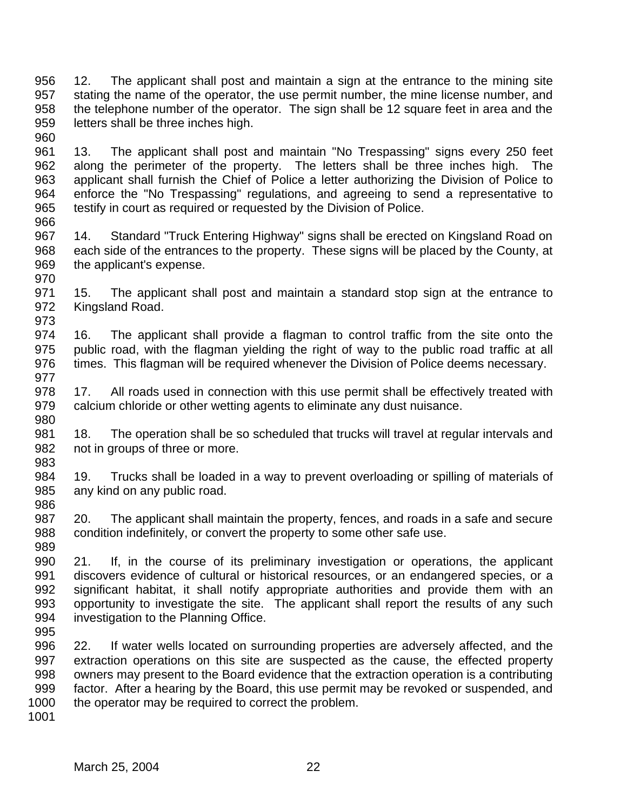12. The applicant shall post and maintain a sign at the entrance to the mining site stating the name of the operator, the use permit number, the mine license number, and the telephone number of the operator. The sign shall be 12 square feet in area and the letters shall be three inches high. 

 13. The applicant shall post and maintain "No Trespassing" signs every 250 feet along the perimeter of the property. The letters shall be three inches high. The applicant shall furnish the Chief of Police a letter authorizing the Division of Police to enforce the "No Trespassing" regulations, and agreeing to send a representative to testify in court as required or requested by the Division of Police.

- 14. Standard "Truck Entering Highway" signs shall be erected on Kingsland Road on each side of the entrances to the property. These signs will be placed by the County, at the applicant's expense.
- 15. The applicant shall post and maintain a standard stop sign at the entrance to Kingsland Road.
- 16. The applicant shall provide a flagman to control traffic from the site onto the public road, with the flagman yielding the right of way to the public road traffic at all times. This flagman will be required whenever the Division of Police deems necessary.
- 17. All roads used in connection with this use permit shall be effectively treated with calcium chloride or other wetting agents to eliminate any dust nuisance.
- 981 18. The operation shall be so scheduled that trucks will travel at regular intervals and not in groups of three or more.
- 19. Trucks shall be loaded in a way to prevent overloading or spilling of materials of any kind on any public road.
- 20. The applicant shall maintain the property, fences, and roads in a safe and secure condition indefinitely, or convert the property to some other safe use.
- 21. If, in the course of its preliminary investigation or operations, the applicant discovers evidence of cultural or historical resources, or an endangered species, or a significant habitat, it shall notify appropriate authorities and provide them with an opportunity to investigate the site. The applicant shall report the results of any such investigation to the Planning Office.
- 22. If water wells located on surrounding properties are adversely affected, and the extraction operations on this site are suspected as the cause, the effected property owners may present to the Board evidence that the extraction operation is a contributing factor. After a hearing by the Board, this use permit may be revoked or suspended, and 1000 the operator may be required to correct the problem.
-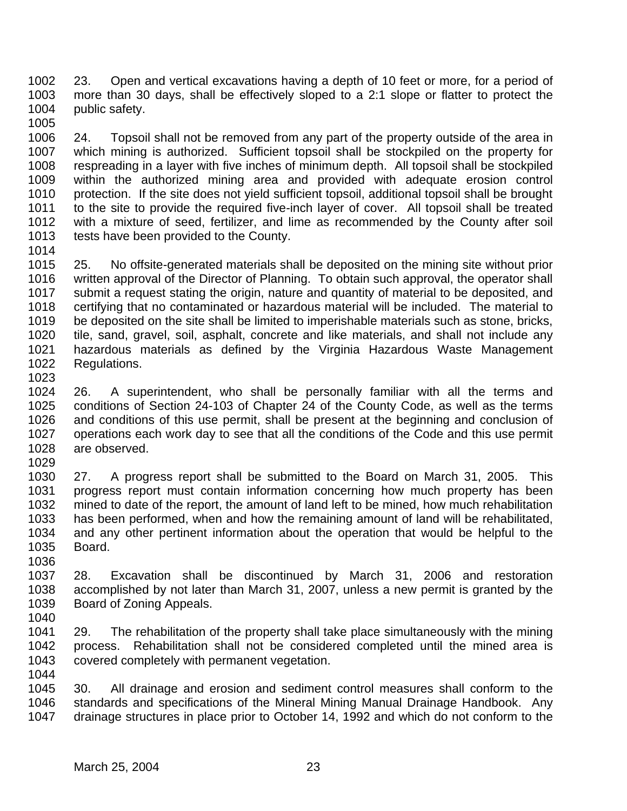23. Open and vertical excavations having a depth of 10 feet or more, for a period of more than 30 days, shall be effectively sloped to a 2:1 slope or flatter to protect the 1004 public safety. 

 24. Topsoil shall not be removed from any part of the property outside of the area in which mining is authorized. Sufficient topsoil shall be stockpiled on the property for respreading in a layer with five inches of minimum depth. All topsoil shall be stockpiled within the authorized mining area and provided with adequate erosion control protection. If the site does not yield sufficient topsoil, additional topsoil shall be brought to the site to provide the required five-inch layer of cover. All topsoil shall be treated with a mixture of seed, fertilizer, and lime as recommended by the County after soil tests have been provided to the County.

 25. No offsite-generated materials shall be deposited on the mining site without prior written approval of the Director of Planning. To obtain such approval, the operator shall submit a request stating the origin, nature and quantity of material to be deposited, and certifying that no contaminated or hazardous material will be included. The material to be deposited on the site shall be limited to imperishable materials such as stone, bricks, tile, sand, gravel, soil, asphalt, concrete and like materials, and shall not include any hazardous materials as defined by the Virginia Hazardous Waste Management Regulations. 

 26. A superintendent, who shall be personally familiar with all the terms and conditions of Section 24-103 of Chapter 24 of the County Code, as well as the terms and conditions of this use permit, shall be present at the beginning and conclusion of operations each work day to see that all the conditions of the Code and this use permit are observed.

 27. A progress report shall be submitted to the Board on March 31, 2005. This progress report must contain information concerning how much property has been mined to date of the report, the amount of land left to be mined, how much rehabilitation has been performed, when and how the remaining amount of land will be rehabilitated, and any other pertinent information about the operation that would be helpful to the Board. 

 28. Excavation shall be discontinued by March 31, 2006 and restoration accomplished by not later than March 31, 2007, unless a new permit is granted by the Board of Zoning Appeals.

 29. The rehabilitation of the property shall take place simultaneously with the mining process. Rehabilitation shall not be considered completed until the mined area is covered completely with permanent vegetation. 

 30. All drainage and erosion and sediment control measures shall conform to the standards and specifications of the Mineral Mining Manual Drainage Handbook. Any drainage structures in place prior to October 14, 1992 and which do not conform to the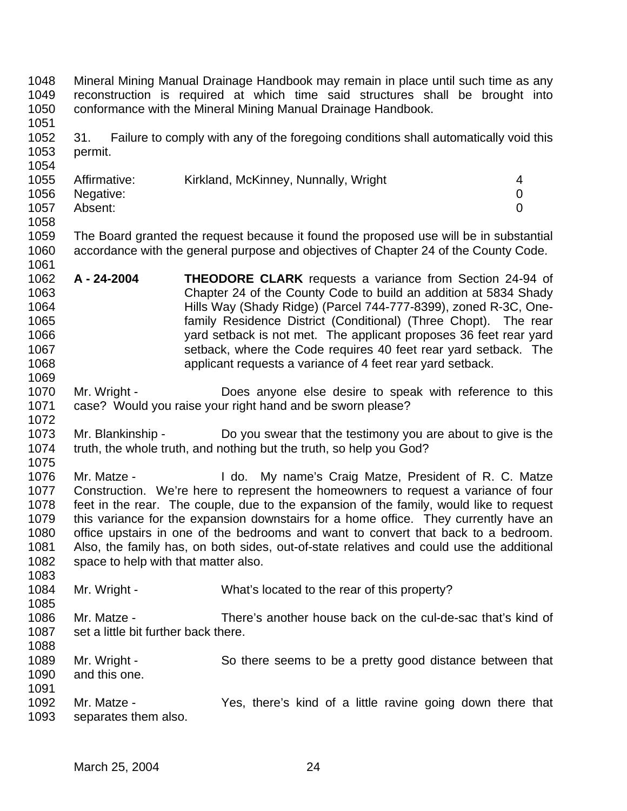Mineral Mining Manual Drainage Handbook may remain in place until such time as any reconstruction is required at which time said structures shall be brought into conformance with the Mineral Mining Manual Drainage Handbook. 31. Failure to comply with any of the foregoing conditions shall automatically void this permit. Affirmative: Kirkland, McKinney, Nunnally, Wright 4 Negative: 0 Absent: 0 The Board granted the request because it found the proposed use will be in substantial accordance with the general purpose and objectives of Chapter 24 of the County Code. 1061<br>1062 **A - 24-2004 THEODORE CLARK** requests a variance from Section 24-94 of Chapter 24 of the County Code to build an addition at 5834 Shady Hills Way (Shady Ridge) (Parcel 744-777-8399), zoned R-3C, One- family Residence District (Conditional) (Three Chopt). The rear yard setback is not met. The applicant proposes 36 feet rear yard setback, where the Code requires 40 feet rear yard setback. The applicant requests a variance of 4 feet rear yard setback. Mr. Wright - Does anyone else desire to speak with reference to this case? Would you raise your right hand and be sworn please? Mr. Blankinship - Do you swear that the testimony you are about to give is the truth, the whole truth, and nothing but the truth, so help you God? Mr. Matze - I do. My name's Craig Matze, President of R. C. Matze Construction. We're here to represent the homeowners to request a variance of four feet in the rear. The couple, due to the expansion of the family, would like to request this variance for the expansion downstairs for a home office. They currently have an office upstairs in one of the bedrooms and want to convert that back to a bedroom. Also, the family has, on both sides, out-of-state relatives and could use the additional space to help with that matter also. 1084 Mr. Wright - What's located to the rear of this property? Mr. Matze - There's another house back on the cul-de-sac that's kind of 1087 set a little bit further back there. Mr. Wright - So there seems to be a pretty good distance between that and this one. Mr. Matze - Yes, there's kind of a little ravine going down there that separates them also.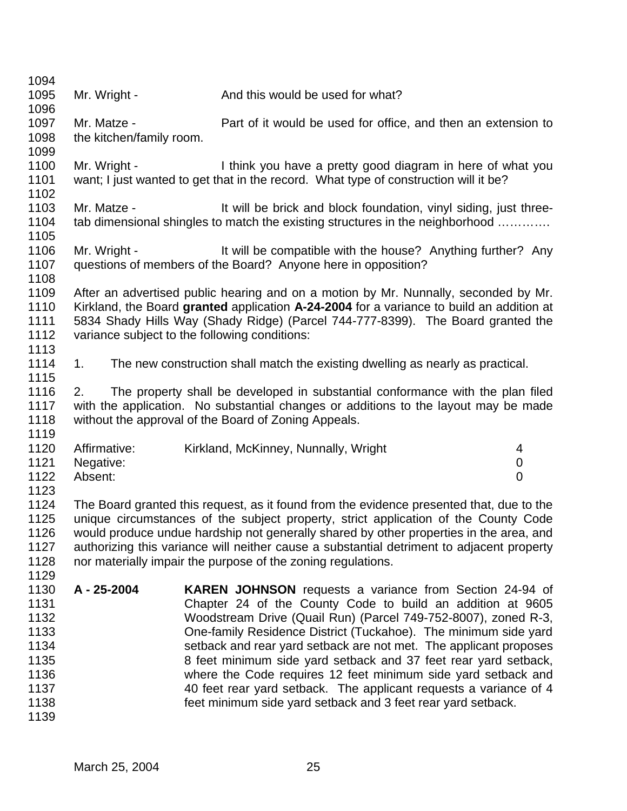| 1094         |                          |                                                                                           |   |
|--------------|--------------------------|-------------------------------------------------------------------------------------------|---|
| 1095         | Mr. Wright -             | And this would be used for what?                                                          |   |
| 1096         |                          |                                                                                           |   |
| 1097         | Mr. Matze -              | Part of it would be used for office, and then an extension to                             |   |
| 1098         | the kitchen/family room. |                                                                                           |   |
| 1099         |                          |                                                                                           |   |
| 1100         | Mr. Wright -             | I think you have a pretty good diagram in here of what you                                |   |
| 1101         |                          | want; I just wanted to get that in the record. What type of construction will it be?      |   |
| 1102         |                          |                                                                                           |   |
| 1103         | Mr. Matze -              | It will be brick and block foundation, vinyl siding, just three-                          |   |
| 1104         |                          | tab dimensional shingles to match the existing structures in the neighborhood             |   |
| 1105         |                          |                                                                                           |   |
| 1106         | Mr. Wright -             | It will be compatible with the house? Anything further? Any                               |   |
| 1107         |                          | questions of members of the Board? Anyone here in opposition?                             |   |
| 1108         |                          |                                                                                           |   |
| 1109         |                          | After an advertised public hearing and on a motion by Mr. Nunnally, seconded by Mr.       |   |
| 1110         |                          | Kirkland, the Board granted application A-24-2004 for a variance to build an addition at  |   |
| 1111         |                          | 5834 Shady Hills Way (Shady Ridge) (Parcel 744-777-8399). The Board granted the           |   |
| 1112         |                          | variance subject to the following conditions:                                             |   |
| 1113         | 1.                       |                                                                                           |   |
| 1114<br>1115 |                          | The new construction shall match the existing dwelling as nearly as practical.            |   |
| 1116         | 2.                       | The property shall be developed in substantial conformance with the plan filed            |   |
| 1117         |                          | with the application. No substantial changes or additions to the layout may be made       |   |
| 1118         |                          | without the approval of the Board of Zoning Appeals.                                      |   |
| 1119         |                          |                                                                                           |   |
| 1120         | Affirmative:             | Kirkland, McKinney, Nunnally, Wright                                                      | 4 |
| 1121         | Negative:                |                                                                                           | 0 |
| 1122         | Absent:                  |                                                                                           | 0 |
| 1123         |                          |                                                                                           |   |
| 1124         |                          | The Board granted this request, as it found from the evidence presented that, due to the  |   |
| 1125         |                          | unique circumstances of the subject property, strict application of the County Code       |   |
| 1126         |                          | would produce undue hardship not generally shared by other properties in the area, and    |   |
| 1127         |                          | authorizing this variance will neither cause a substantial detriment to adjacent property |   |
| 1128         |                          | nor materially impair the purpose of the zoning regulations.                              |   |
| 1129         |                          |                                                                                           |   |
| 1130         | A - 25-2004              | <b>KAREN JOHNSON</b> requests a variance from Section 24-94 of                            |   |
| 1131         |                          | Chapter 24 of the County Code to build an addition at 9605                                |   |
| 1132         |                          | Woodstream Drive (Quail Run) (Parcel 749-752-8007), zoned R-3,                            |   |
| 1133         |                          | One-family Residence District (Tuckahoe). The minimum side yard                           |   |
| 1134         |                          | setback and rear yard setback are not met. The applicant proposes                         |   |
| 1135         |                          | 8 feet minimum side yard setback and 37 feet rear yard setback,                           |   |
| 1136         |                          | where the Code requires 12 feet minimum side yard setback and                             |   |
| 1137         |                          | 40 feet rear yard setback. The applicant requests a variance of 4                         |   |
| 1138         |                          | feet minimum side yard setback and 3 feet rear yard setback.                              |   |
| 1139         |                          |                                                                                           |   |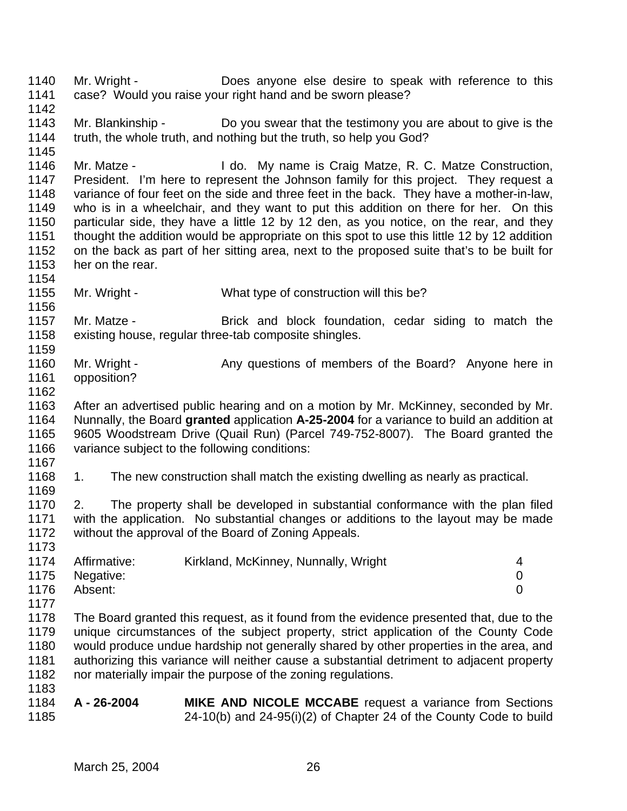Mr. Blankinship - Do you swear that the testimony you are about to give is the truth, the whole truth, and nothing but the truth, so help you God? Mr. Matze - I do. My name is Craig Matze, R. C. Matze Construction, President. I'm here to represent the Johnson family for this project. They request a variance of four feet on the side and three feet in the back. They have a mother-in-law, who is in a wheelchair, and they want to put this addition on there for her. On this particular side, they have a little 12 by 12 den, as you notice, on the rear, and they thought the addition would be appropriate on this spot to use this little 12 by 12 addition on the back as part of her sitting area, next to the proposed suite that's to be built for her on the rear. Mr. Wright - What type of construction will this be? Mr. Matze - Brick and block foundation, cedar siding to match the existing house, regular three-tab composite shingles. 1160 Mr. Wright - Any questions of members of the Board? Anyone here in opposition? After an advertised public hearing and on a motion by Mr. McKinney, seconded by Mr. Nunnally, the Board **granted** application **A-25-2004** for a variance to build an addition at 9605 Woodstream Drive (Quail Run) (Parcel 749-752-8007). The Board granted the variance subject to the following conditions: 1168 1. The new construction shall match the existing dwelling as nearly as practical. 2. The property shall be developed in substantial conformance with the plan filed with the application. No substantial changes or additions to the layout may be made without the approval of the Board of Zoning Appeals. 1174 Affirmative: Kirkland, McKinney, Nunnally, Wright 4 Negative: 0 Absent: 0 The Board granted this request, as it found from the evidence presented that, due to the unique circumstances of the subject property, strict application of the County Code would produce undue hardship not generally shared by other properties in the area, and authorizing this variance will neither cause a substantial detriment to adjacent property nor materially impair the purpose of the zoning regulations. **A - 26-2004 MIKE AND NICOLE MCCABE** request a variance from Sections 24-10(b) and 24-95(i)(2) of Chapter 24 of the County Code to build

Mr. Wright - Does anyone else desire to speak with reference to this

case? Would you raise your right hand and be sworn please?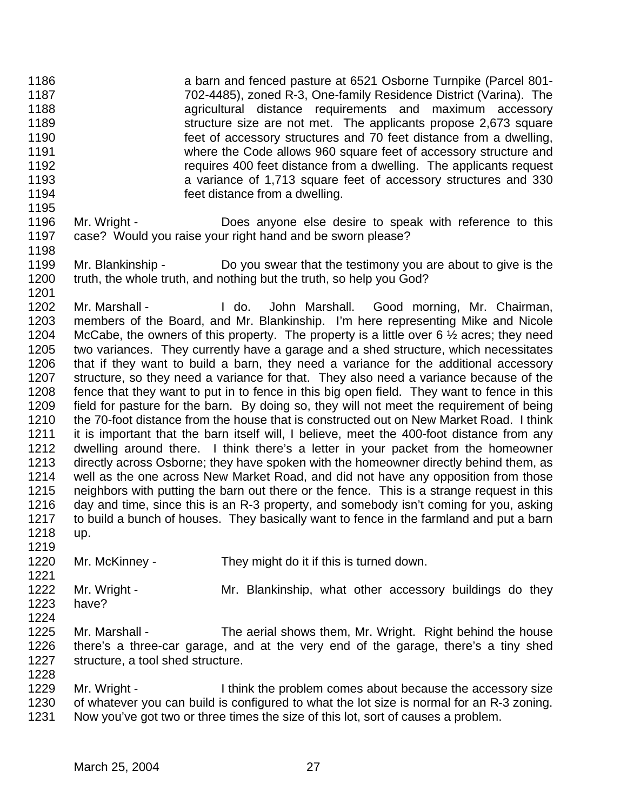- a barn and fenced pasture at 6521 Osborne Turnpike (Parcel 801- 702-4485), zoned R-3, One-family Residence District (Varina). The agricultural distance requirements and maximum accessory **Structure size are not met.** The applicants propose 2,673 square feet of accessory structures and 70 feet distance from a dwelling, where the Code allows 960 square feet of accessory structure and requires 400 feet distance from a dwelling. The applicants request a variance of 1,713 square feet of accessory structures and 330 feet distance from a dwelling.
- Mr. Wright Does anyone else desire to speak with reference to this case? Would you raise your right hand and be sworn please?
- Mr. Blankinship Do you swear that the testimony you are about to give is the truth, the whole truth, and nothing but the truth, so help you God?

 Mr. Marshall - I do. John Marshall. Good morning, Mr. Chairman, members of the Board, and Mr. Blankinship. I'm here representing Mike and Nicole 1204 McCabe, the owners of this property. The property is a little over 6  $\frac{1}{2}$  acres; they need two variances. They currently have a garage and a shed structure, which necessitates that if they want to build a barn, they need a variance for the additional accessory structure, so they need a variance for that. They also need a variance because of the fence that they want to put in to fence in this big open field. They want to fence in this field for pasture for the barn. By doing so, they will not meet the requirement of being the 70-foot distance from the house that is constructed out on New Market Road. I think it is important that the barn itself will, I believe, meet the 400-foot distance from any dwelling around there. I think there's a letter in your packet from the homeowner directly across Osborne; they have spoken with the homeowner directly behind them, as well as the one across New Market Road, and did not have any opposition from those neighbors with putting the barn out there or the fence. This is a strange request in this day and time, since this is an R-3 property, and somebody isn't coming for you, asking to build a bunch of houses. They basically want to fence in the farmland and put a barn up.

- Mr. McKinney They might do it if this is turned down.
- 1222 Mr. Wright - Mr. Blankinship, what other accessory buildings do they have?
- 

- Mr. Marshall The aerial shows them, Mr. Wright. Right behind the house there's a three-car garage, and at the very end of the garage, there's a tiny shed structure, a tool shed structure.
- 1229 Mr. Wright I think the problem comes about because the accessory size of whatever you can build is configured to what the lot size is normal for an R-3 zoning. Now you've got two or three times the size of this lot, sort of causes a problem.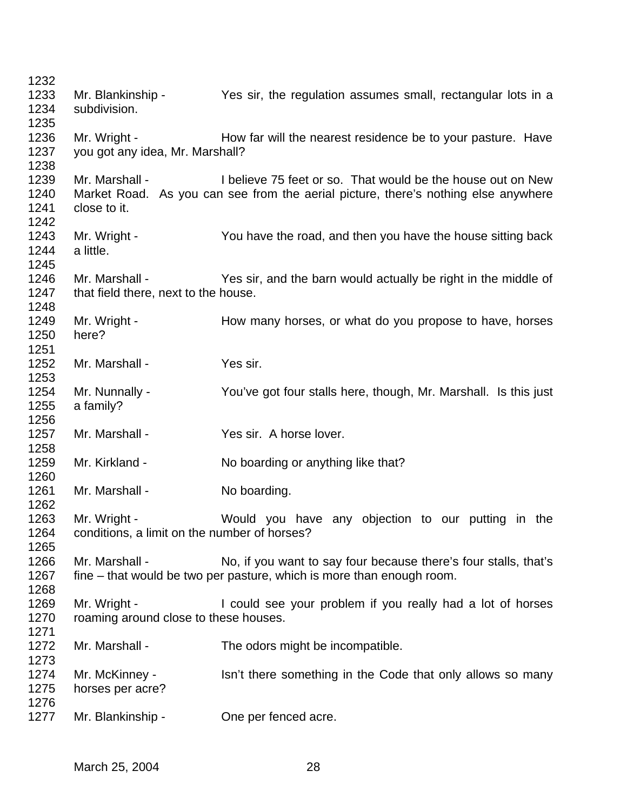| 1232         |                                                       |                                                                                    |
|--------------|-------------------------------------------------------|------------------------------------------------------------------------------------|
| 1233         | Mr. Blankinship -                                     | Yes sir, the regulation assumes small, rectangular lots in a                       |
| 1234         | subdivision.                                          |                                                                                    |
| 1235         |                                                       |                                                                                    |
| 1236         | Mr. Wright -                                          | How far will the nearest residence be to your pasture. Have                        |
| 1237         | you got any idea, Mr. Marshall?                       |                                                                                    |
| 1238         |                                                       |                                                                                    |
| 1239         | Mr. Marshall -                                        | I believe 75 feet or so. That would be the house out on New                        |
| 1240         |                                                       | Market Road. As you can see from the aerial picture, there's nothing else anywhere |
| 1241         | close to it.                                          |                                                                                    |
| 1242<br>1243 |                                                       |                                                                                    |
| 1244         | Mr. Wright -<br>a little.                             | You have the road, and then you have the house sitting back                        |
| 1245         |                                                       |                                                                                    |
| 1246         | Mr. Marshall -                                        | Yes sir, and the barn would actually be right in the middle of                     |
| 1247         | that field there, next to the house.                  |                                                                                    |
| 1248         |                                                       |                                                                                    |
| 1249         | Mr. Wright -                                          | How many horses, or what do you propose to have, horses                            |
| 1250         | here?                                                 |                                                                                    |
| 1251         |                                                       |                                                                                    |
| 1252         | Mr. Marshall -                                        | Yes sir.                                                                           |
| 1253         |                                                       |                                                                                    |
| 1254         | Mr. Nunnally -                                        | You've got four stalls here, though, Mr. Marshall. Is this just                    |
| 1255         | a family?                                             |                                                                                    |
| 1256         |                                                       |                                                                                    |
| 1257         | Mr. Marshall -                                        | Yes sir. A horse lover.                                                            |
| 1258         |                                                       |                                                                                    |
| 1259         | Mr. Kirkland -                                        | No boarding or anything like that?                                                 |
| 1260         |                                                       |                                                                                    |
| 1261         | Mr. Marshall -                                        | No boarding.                                                                       |
| 1262         |                                                       |                                                                                    |
| 1263         | Mr. Wright -                                          | Would you have any objection to our putting in the                                 |
| 1264         | conditions, a limit on the number of horses?          |                                                                                    |
| 1265         |                                                       |                                                                                    |
| 1266         | Mr. Marshall -                                        | No, if you want to say four because there's four stalls, that's                    |
| 1267         |                                                       | fine – that would be two per pasture, which is more than enough room.              |
| 1268<br>1269 |                                                       |                                                                                    |
| 1270         | Mr. Wright -<br>roaming around close to these houses. | I could see your problem if you really had a lot of horses                         |
| 1271         |                                                       |                                                                                    |
| 1272         | Mr. Marshall -                                        | The odors might be incompatible.                                                   |
| 1273         |                                                       |                                                                                    |
| 1274         | Mr. McKinney -                                        | Isn't there something in the Code that only allows so many                         |
| 1275         | horses per acre?                                      |                                                                                    |
| 1276         |                                                       |                                                                                    |
| 1277         | Mr. Blankinship -                                     | One per fenced acre.                                                               |
|              |                                                       |                                                                                    |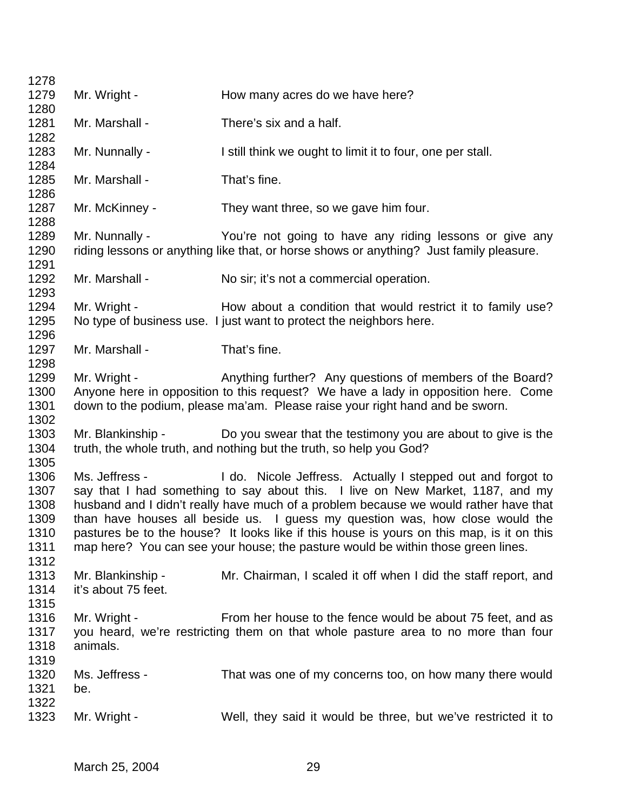| 1278         |                     |                                                                                           |
|--------------|---------------------|-------------------------------------------------------------------------------------------|
| 1279         | Mr. Wright -        | How many acres do we have here?                                                           |
| 1280         |                     |                                                                                           |
| 1281         | Mr. Marshall -      | There's six and a half.                                                                   |
| 1282         |                     |                                                                                           |
| 1283         | Mr. Nunnally -      | I still think we ought to limit it to four, one per stall.                                |
| 1284         |                     |                                                                                           |
| 1285         | Mr. Marshall -      | That's fine.                                                                              |
| 1286         |                     |                                                                                           |
| 1287         | Mr. McKinney -      | They want three, so we gave him four.                                                     |
| 1288         |                     |                                                                                           |
| 1289         | Mr. Nunnally -      | You're not going to have any riding lessons or give any                                   |
| 1290         |                     | riding lessons or anything like that, or horse shows or anything? Just family pleasure.   |
| 1291         |                     |                                                                                           |
| 1292         | Mr. Marshall -      | No sir; it's not a commercial operation.                                                  |
| 1293         |                     |                                                                                           |
| 1294         | Mr. Wright -        | How about a condition that would restrict it to family use?                               |
| 1295         |                     | No type of business use. I just want to protect the neighbors here.                       |
| 1296         |                     |                                                                                           |
| 1297         | Mr. Marshall -      | That's fine.                                                                              |
| 1298         |                     |                                                                                           |
| 1299         | Mr. Wright -        | Anything further? Any questions of members of the Board?                                  |
| 1300         |                     | Anyone here in opposition to this request? We have a lady in opposition here. Come        |
| 1301         |                     | down to the podium, please ma'am. Please raise your right hand and be sworn.              |
| 1302         |                     |                                                                                           |
| 1303<br>1304 | Mr. Blankinship -   | Do you swear that the testimony you are about to give is the                              |
| 1305         |                     | truth, the whole truth, and nothing but the truth, so help you God?                       |
| 1306         | Ms. Jeffress -      | I do. Nicole Jeffress. Actually I stepped out and forgot to                               |
| 1307         |                     | say that I had something to say about this. I live on New Market, 1187, and my            |
| 1308         |                     | husband and I didn't really have much of a problem because we would rather have that      |
| 1309         |                     | than have houses all beside us. I guess my question was, how close would the              |
| 1310         |                     | pastures be to the house? It looks like if this house is yours on this map, is it on this |
| 1311         |                     | map here? You can see your house; the pasture would be within those green lines.          |
| 1312         |                     |                                                                                           |
| 1313         | Mr. Blankinship -   | Mr. Chairman, I scaled it off when I did the staff report, and                            |
| 1314         | it's about 75 feet. |                                                                                           |
| 1315         |                     |                                                                                           |
| 1316         | Mr. Wright -        | From her house to the fence would be about 75 feet, and as                                |
| 1317         |                     | you heard, we're restricting them on that whole pasture area to no more than four         |
| 1318         | animals.            |                                                                                           |
| 1319         |                     |                                                                                           |
| 1320         | Ms. Jeffress -      | That was one of my concerns too, on how many there would                                  |
| 1321         | be.                 |                                                                                           |
| 1322         |                     |                                                                                           |
| 1323         | Mr. Wright -        | Well, they said it would be three, but we've restricted it to                             |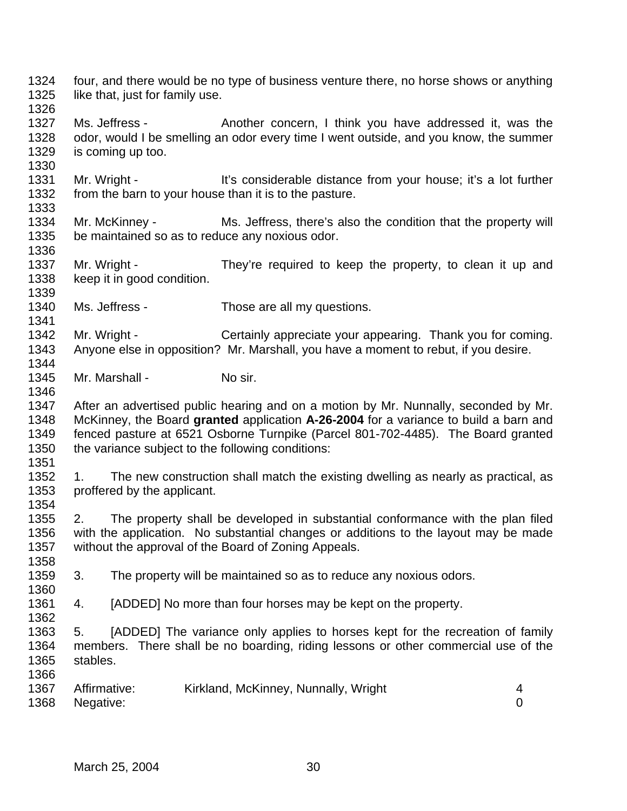four, and there would be no type of business venture there, no horse shows or anything 1325 like that, just for family use.

1327 Ms. Jeffress - Another concern, I think you have addressed it, was the odor, would I be smelling an odor every time I went outside, and you know, the summer is coming up too.

1331 Mr. Wright - It's considerable distance from your house; it's a lot further from the barn to your house than it is to the pasture.

 Mr. McKinney - Ms. Jeffress, there's also the condition that the property will be maintained so as to reduce any noxious odor.

1337 Mr. Wright - They're required to keep the property, to clean it up and keep it in good condition.

1340 Ms. Jeffress - Those are all my questions.

1342 Mr. Wright - Certainly appreciate your appearing. Thank you for coming. Anyone else in opposition? Mr. Marshall, you have a moment to rebut, if you desire. 

1345 Mr. Marshall - No sir.

 After an advertised public hearing and on a motion by Mr. Nunnally, seconded by Mr. McKinney, the Board **granted** application **A-26-2004** for a variance to build a barn and fenced pasture at 6521 Osborne Turnpike (Parcel 801-702-4485). The Board granted the variance subject to the following conditions: 

 1. The new construction shall match the existing dwelling as nearly as practical, as proffered by the applicant.

 2. The property shall be developed in substantial conformance with the plan filed with the application. No substantial changes or additions to the layout may be made without the approval of the Board of Zoning Appeals. 

3. The property will be maintained so as to reduce any noxious odors.

4. [ADDED] No more than four horses may be kept on the property.

 5. [ADDED] The variance only applies to horses kept for the recreation of family members. There shall be no boarding, riding lessons or other commercial use of the stables.

| 1367 | Affirmative:   | Kirkland, McKinney, Nunnally, Wright |  |
|------|----------------|--------------------------------------|--|
|      | 1368 Negative: |                                      |  |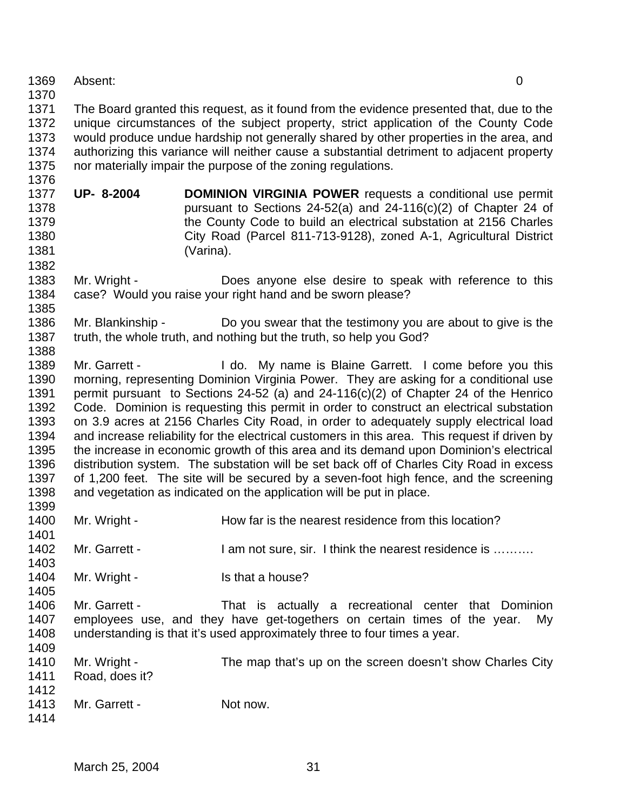Absent: 0

 The Board granted this request, as it found from the evidence presented that, due to the unique circumstances of the subject property, strict application of the County Code would produce undue hardship not generally shared by other properties in the area, and authorizing this variance will neither cause a substantial detriment to adjacent property nor materially impair the purpose of the zoning regulations.

- **UP- 8-2004 DOMINION VIRGINIA POWER** requests a conditional use permit pursuant to Sections 24-52(a) and 24-116(c)(2) of Chapter 24 of the County Code to build an electrical substation at 2156 Charles City Road (Parcel 811-713-9128), zoned A-1, Agricultural District (Varina).
- Mr. Wright Does anyone else desire to speak with reference to this case? Would you raise your right hand and be sworn please?
- Mr. Blankinship Do you swear that the testimony you are about to give is the truth, the whole truth, and nothing but the truth, so help you God?

1389 Mr. Garrett - I do. My name is Blaine Garrett. I come before you this morning, representing Dominion Virginia Power. They are asking for a conditional use permit pursuant to Sections 24-52 (a) and 24-116(c)(2) of Chapter 24 of the Henrico Code. Dominion is requesting this permit in order to construct an electrical substation on 3.9 acres at 2156 Charles City Road, in order to adequately supply electrical load 1394 and increase reliability for the electrical customers in this area. This request if driven by the increase in economic growth of this area and its demand upon Dominion's electrical distribution system. The substation will be set back off of Charles City Road in excess of 1,200 feet. The site will be secured by a seven-foot high fence, and the screening and vegetation as indicated on the application will be put in place. 

- 1400 Mr. Wright How far is the nearest residence from this location?
- 1402 Mr. Garrett I am not sure, sir. I think the nearest residence is .........
- 1404 Mr. Wright Is that a house?
- Mr. Garrett That is actually a recreational center that Dominion employees use, and they have get-togethers on certain times of the year. My understanding is that it's used approximately three to four times a year.
- 1410 Mr. Wright - The map that's up on the screen doesn't show Charles City Road, does it?
- 1413 Mr. Garrett Not now.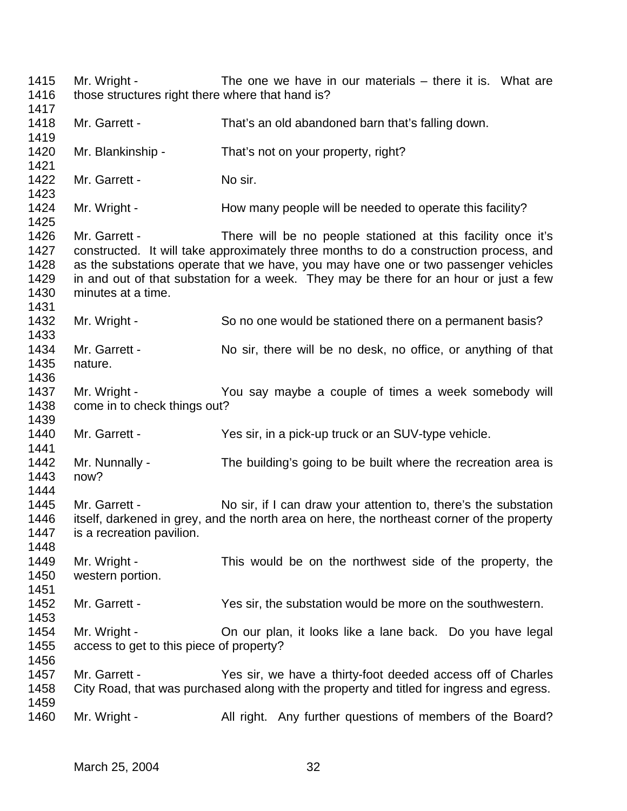1415 Mr. Wright - The one we have in our materials – there it is. What are 1416 those structures right there where that hand is? Mr. Garrett - That's an old abandoned barn that's falling down. 1420 Mr. Blankinship - That's not on your property, right? 1422 Mr. Garrett - No sir. 1424 Mr. Wright - How many people will be needed to operate this facility? Mr. Garrett - There will be no people stationed at this facility once it's constructed. It will take approximately three months to do a construction process, and 1428 as the substations operate that we have, you may have one or two passenger vehicles<br>1429 in and out of that substation for a week. They may be there for an hour or just a few in and out of that substation for a week. They may be there for an hour or just a few minutes at a time. 1432 Mr. Wright - So no one would be stationed there on a permanent basis? 1434 Mr. Garrett - No sir, there will be no desk, no office, or anything of that nature. 1437 Mr. Wright - You say maybe a couple of times a week somebody will come in to check things out? Mr. Garrett - Yes sir, in a pick-up truck or an SUV-type vehicle. Mr. Nunnally - The building's going to be built where the recreation area is now? Mr. Garrett - No sir, if I can draw your attention to, there's the substation itself, darkened in grey, and the north area on here, the northeast corner of the property is a recreation pavilion. Mr. Wright - This would be on the northwest side of the property, the western portion. Mr. Garrett - Yes sir, the substation would be more on the southwestern. Mr. Wright - On our plan, it looks like a lane back. Do you have legal access to get to this piece of property? Mr. Garrett - Yes sir, we have a thirty-foot deeded access off of Charles City Road, that was purchased along with the property and titled for ingress and egress. 1460 Mr. Wright - All right. Any further questions of members of the Board?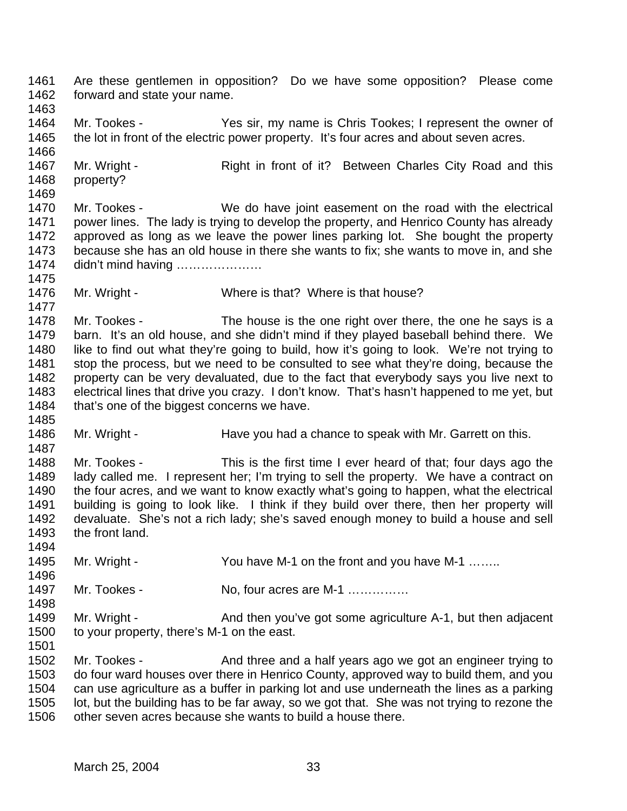Are these gentlemen in opposition? Do we have some opposition? Please come forward and state your name. Mr. Tookes - Yes sir, my name is Chris Tookes; I represent the owner of 1465 the lot in front of the electric power property. It's four acres and about seven acres. 1467 Mr. Wright - Right in front of it? Between Charles City Road and this property? Mr. Tookes - We do have joint easement on the road with the electrical power lines. The lady is trying to develop the property, and Henrico County has already approved as long as we leave the power lines parking lot. She bought the property because she has an old house in there she wants to fix; she wants to move in, and she didn't mind having ………………… 1476 Mr. Wright - Where is that? Where is that house? 1478 Mr. Tookes - The house is the one right over there, the one he says is a barn. It's an old house, and she didn't mind if they played baseball behind there. We like to find out what they're going to build, how it's going to look. We're not trying to stop the process, but we need to be consulted to see what they're doing, because the property can be very devaluated, due to the fact that everybody says you live next to electrical lines that drive you crazy. I don't know. That's hasn't happened to me yet, but 1484 that's one of the biggest concerns we have. 1486 Mr. Wright - Have you had a chance to speak with Mr. Garrett on this. Mr. Tookes - This is the first time I ever heard of that; four days ago the lady called me. I represent her; I'm trying to sell the property. We have a contract on the four acres, and we want to know exactly what's going to happen, what the electrical 1491 building is going to look like. I think if they build over there, then her property will devaluate. She's not a rich lady; she's saved enough money to build a house and sell the front land. 1495 Mr. Wright - You have M-1 on the front and you have M-1 …….. 1497 Mr. Tookes - No, four acres are M-1 …………… 1499 Mr. Wright - And then you've got some agriculture A-1, but then adjacent to your property, there's M-1 on the east. 1502 Mr. Tookes - And three and a half years ago we got an engineer trying to do four ward houses over there in Henrico County, approved way to build them, and you can use agriculture as a buffer in parking lot and use underneath the lines as a parking lot, but the building has to be far away, so we got that. She was not trying to rezone the other seven acres because she wants to build a house there.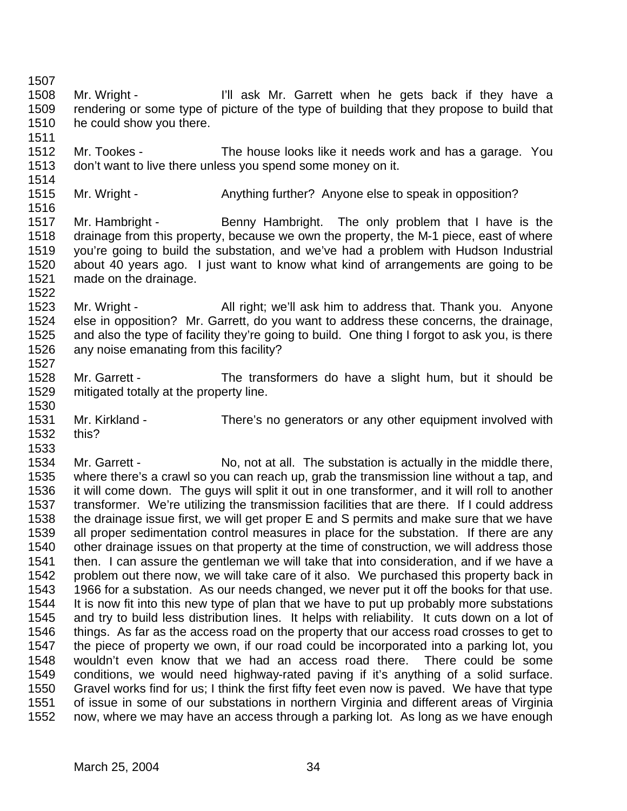Mr. Wright - I'll ask Mr. Garrett when he gets back if they have a rendering or some type of picture of the type of building that they propose to build that he could show you there. Mr. Tookes - The house looks like it needs work and has a garage. You don't want to live there unless you spend some money on it. 1515 Mr. Wright - Anything further? Anyone else to speak in opposition? 1517 Mr. Hambright - Benny Hambright. The only problem that I have is the drainage from this property, because we own the property, the M-1 piece, east of where you're going to build the substation, and we've had a problem with Hudson Industrial about 40 years ago. I just want to know what kind of arrangements are going to be made on the drainage. Mr. Wright - All right; we'll ask him to address that. Thank you. Anyone else in opposition? Mr. Garrett, do you want to address these concerns, the drainage, and also the type of facility they're going to build. One thing I forgot to ask you, is there any noise emanating from this facility? Mr. Garrett - The transformers do have a slight hum, but it should be mitigated totally at the property line. Mr. Kirkland - There's no generators or any other equipment involved with this? Mr. Garrett - No, not at all. The substation is actually in the middle there, where there's a crawl so you can reach up, grab the transmission line without a tap, and it will come down. The guys will split it out in one transformer, and it will roll to another transformer. We're utilizing the transmission facilities that are there. If I could address the drainage issue first, we will get proper E and S permits and make sure that we have all proper sedimentation control measures in place for the substation. If there are any other drainage issues on that property at the time of construction, we will address those then. I can assure the gentleman we will take that into consideration, and if we have a problem out there now, we will take care of it also. We purchased this property back in 1966 for a substation. As our needs changed, we never put it off the books for that use. It is now fit into this new type of plan that we have to put up probably more substations and try to build less distribution lines. It helps with reliability. It cuts down on a lot of things. As far as the access road on the property that our access road crosses to get to the piece of property we own, if our road could be incorporated into a parking lot, you wouldn't even know that we had an access road there. There could be some conditions, we would need highway-rated paving if it's anything of a solid surface. Gravel works find for us; I think the first fifty feet even now is paved. We have that type of issue in some of our substations in northern Virginia and different areas of Virginia now, where we may have an access through a parking lot. As long as we have enough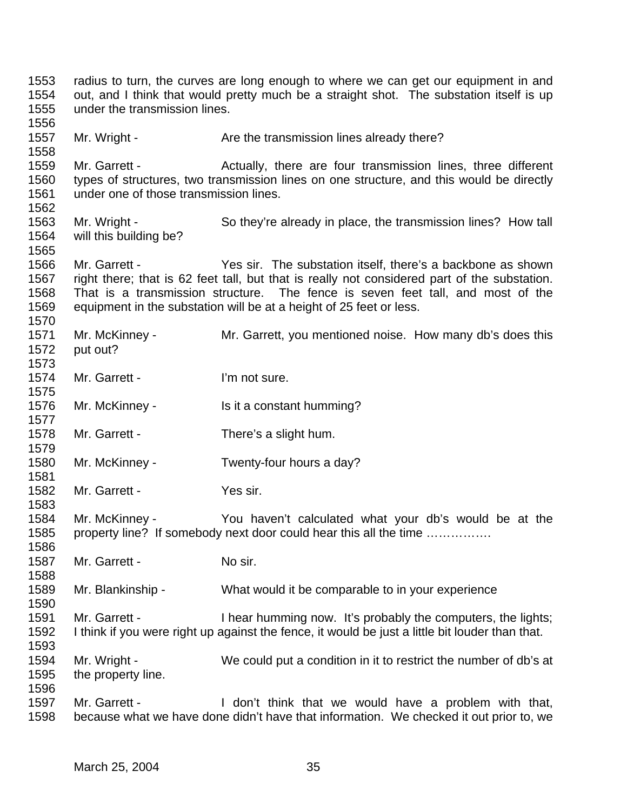radius to turn, the curves are long enough to where we can get our equipment in and out, and I think that would pretty much be a straight shot. The substation itself is up under the transmission lines. 1557 Mr. Wright - Are the transmission lines already there? Mr. Garrett - Actually, there are four transmission lines, three different types of structures, two transmission lines on one structure, and this would be directly under one of those transmission lines. Mr. Wright - So they're already in place, the transmission lines? How tall will this building be? Mr. Garrett - Yes sir. The substation itself, there's a backbone as shown right there; that is 62 feet tall, but that is really not considered part of the substation. That is a transmission structure. The fence is seven feet tall, and most of the equipment in the substation will be at a height of 25 feet or less. Mr. McKinney - Mr. Garrett, you mentioned noise. How many db's does this put out? 1574 Mr. Garrett - I'm not sure. Mr. McKinney - Is it a constant humming? Mr. Garrett - There's a slight hum. Mr. McKinney - Twenty-four hours a day? 1582 Mr. Garrett - Yes sir. Mr. McKinney - You haven't calculated what your db's would be at the property line? If somebody next door could hear this all the time ……………. Mr. Garrett - No sir. Mr. Blankinship - What would it be comparable to in your experience Mr. Garrett - I hear humming now. It's probably the computers, the lights; I think if you were right up against the fence, it would be just a little bit louder than that. Mr. Wright - We could put a condition in it to restrict the number of db's at the property line. 1597 Mr. Garrett - I don't think that we would have a problem with that, because what we have done didn't have that information. We checked it out prior to, we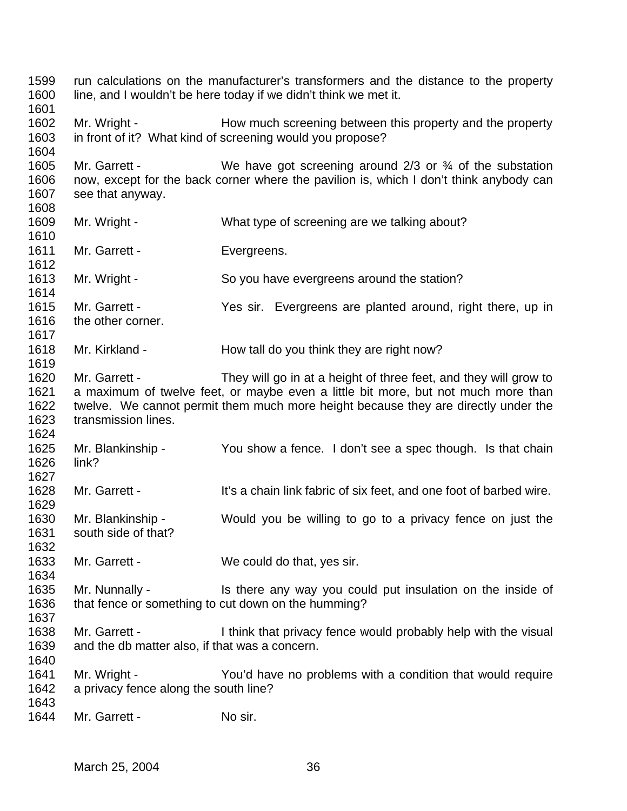run calculations on the manufacturer's transformers and the distance to the property line, and I wouldn't be here today if we didn't think we met it. 1602 Mr. Wright - How much screening between this property and the property in front of it? What kind of screening would you propose? 1605 Mr. Garrett - We have got screening around 2/3 or <sup>3</sup>/4 of the substation now, except for the back corner where the pavilion is, which I don't think anybody can see that anyway. Mr. Wright - What type of screening are we talking about? 1611 Mr. Garrett - Evergreens. 1613 Mr. Wright - So you have evergreens around the station? Mr. Garrett - Yes sir. Evergreens are planted around, right there, up in the other corner. 1618 Mr. Kirkland - How tall do you think they are right now? Mr. Garrett - They will go in at a height of three feet, and they will grow to a maximum of twelve feet, or maybe even a little bit more, but not much more than twelve. We cannot permit them much more height because they are directly under the transmission lines. Mr. Blankinship - You show a fence. I don't see a spec though. Is that chain link? 1628 Mr. Garrett - It's a chain link fabric of six feet, and one foot of barbed wire. Mr. Blankinship - Would you be willing to go to a privacy fence on just the south side of that? Mr. Garrett - We could do that, yes sir. Mr. Nunnally - Is there any way you could put insulation on the inside of that fence or something to cut down on the humming? Mr. Garrett - I think that privacy fence would probably help with the visual and the db matter also, if that was a concern. Mr. Wright - You'd have no problems with a condition that would require a privacy fence along the south line? 1644 Mr. Garrett - No sir.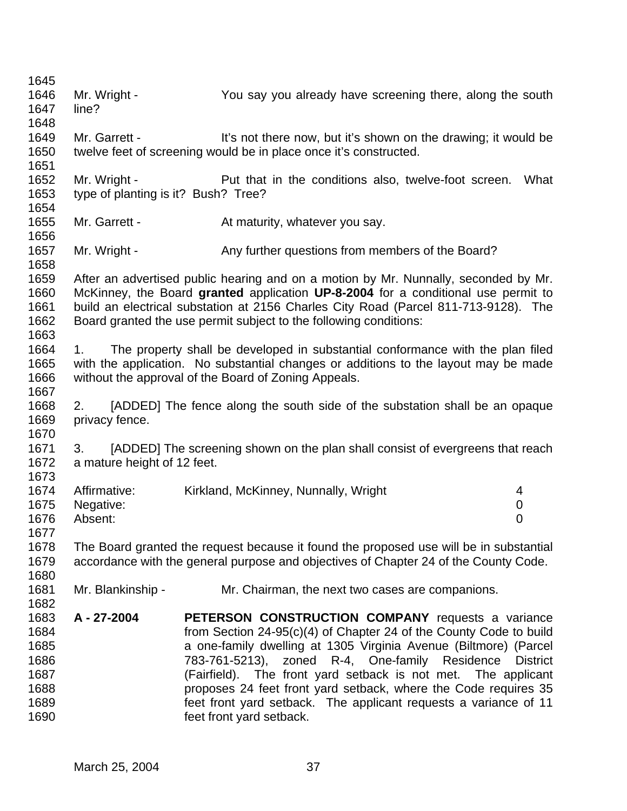| 1645<br>1646<br>1647<br>1648                                 | Mr. Wright -<br>line?                               | You say you already have screening there, along the south                                                                                                                                                                                                                                                                                                                                                                                                                         |                          |
|--------------------------------------------------------------|-----------------------------------------------------|-----------------------------------------------------------------------------------------------------------------------------------------------------------------------------------------------------------------------------------------------------------------------------------------------------------------------------------------------------------------------------------------------------------------------------------------------------------------------------------|--------------------------|
| 1649<br>1650<br>1651                                         | Mr. Garrett -                                       | It's not there now, but it's shown on the drawing; it would be<br>twelve feet of screening would be in place once it's constructed.                                                                                                                                                                                                                                                                                                                                               |                          |
| 1652<br>1653<br>1654                                         | Mr. Wright -<br>type of planting is it? Bush? Tree? | Put that in the conditions also, twelve-foot screen.                                                                                                                                                                                                                                                                                                                                                                                                                              | What                     |
| 1655<br>1656                                                 | Mr. Garrett -                                       | At maturity, whatever you say.                                                                                                                                                                                                                                                                                                                                                                                                                                                    |                          |
| 1657<br>1658                                                 | Mr. Wright -                                        | Any further questions from members of the Board?                                                                                                                                                                                                                                                                                                                                                                                                                                  |                          |
| 1659<br>1660<br>1661<br>1662<br>1663                         |                                                     | After an advertised public hearing and on a motion by Mr. Nunnally, seconded by Mr.<br>McKinney, the Board granted application UP-8-2004 for a conditional use permit to<br>build an electrical substation at 2156 Charles City Road (Parcel 811-713-9128). The<br>Board granted the use permit subject to the following conditions:                                                                                                                                              |                          |
| 1664<br>1665<br>1666<br>1667                                 | 1.                                                  | The property shall be developed in substantial conformance with the plan filed<br>with the application. No substantial changes or additions to the layout may be made<br>without the approval of the Board of Zoning Appeals.                                                                                                                                                                                                                                                     |                          |
| 1668<br>1669<br>1670                                         | 2.<br>privacy fence.                                | [ADDED] The fence along the south side of the substation shall be an opaque                                                                                                                                                                                                                                                                                                                                                                                                       |                          |
| 1671<br>1672<br>1673                                         | 3.<br>a mature height of 12 feet.                   | [ADDED] The screening shown on the plan shall consist of evergreens that reach                                                                                                                                                                                                                                                                                                                                                                                                    |                          |
| 1674<br>1675<br>1676<br>1677                                 | Affirmative:<br>Negative:<br>Absent:                | Kirkland, McKinney, Nunnally, Wright                                                                                                                                                                                                                                                                                                                                                                                                                                              | 4<br>0<br>$\overline{0}$ |
| 1678<br>1679<br>1680                                         |                                                     | The Board granted the request because it found the proposed use will be in substantial<br>accordance with the general purpose and objectives of Chapter 24 of the County Code.                                                                                                                                                                                                                                                                                                    |                          |
| 1681<br>1682                                                 | Mr. Blankinship -                                   | Mr. Chairman, the next two cases are companions.                                                                                                                                                                                                                                                                                                                                                                                                                                  |                          |
| 1683<br>1684<br>1685<br>1686<br>1687<br>1688<br>1689<br>1690 | A - 27-2004                                         | PETERSON CONSTRUCTION COMPANY requests a variance<br>from Section 24-95(c)(4) of Chapter 24 of the County Code to build<br>a one-family dwelling at 1305 Virginia Avenue (Biltmore) (Parcel<br>783-761-5213), zoned R-4, One-family Residence<br>(Fairfield). The front yard setback is not met. The applicant<br>proposes 24 feet front yard setback, where the Code requires 35<br>feet front yard setback. The applicant requests a variance of 11<br>feet front yard setback. | <b>District</b>          |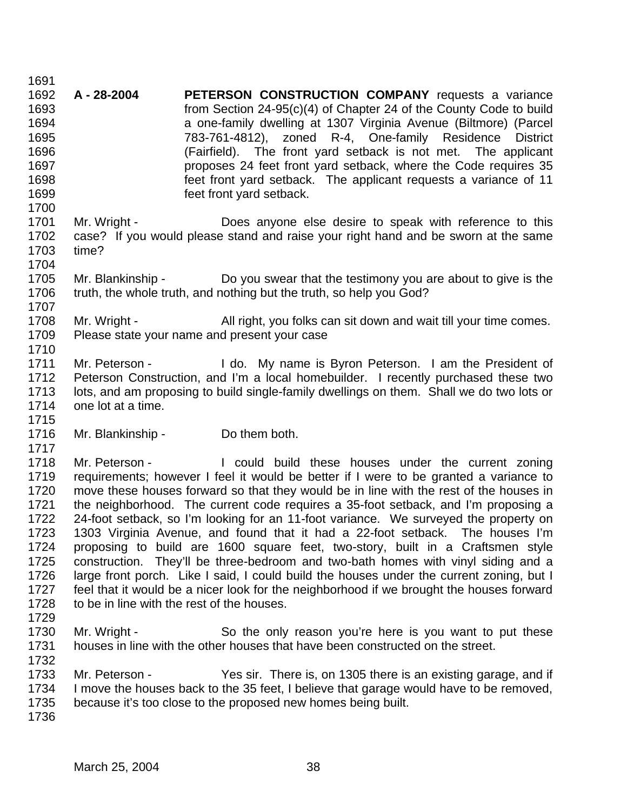**A - 28-2004 PETERSON CONSTRUCTION COMPANY** requests a variance from Section 24-95(c)(4) of Chapter 24 of the County Code to build a one-family dwelling at 1307 Virginia Avenue (Biltmore) (Parcel 783-761-4812), zoned R-4, One-family Residence District (Fairfield). The front yard setback is not met. The applicant proposes 24 feet front yard setback, where the Code requires 35 feet front yard setback. The applicant requests a variance of 11 feet front yard setback. 1701 Mr. Wright - Does anyone else desire to speak with reference to this case? If you would please stand and raise your right hand and be sworn at the same time? Mr. Blankinship - Do you swear that the testimony you are about to give is the truth, the whole truth, and nothing but the truth, so help you God? 1708 Mr. Wright - All right, you folks can sit down and wait till your time comes. Please state your name and present your case 1711 Mr. Peterson - I do. My name is Byron Peterson. I am the President of Peterson Construction, and I'm a local homebuilder. I recently purchased these two lots, and am proposing to build single-family dwellings on them. Shall we do two lots or one lot at a time. 1716 Mr. Blankinship - Do them both. 1718 Mr. Peterson - I could build these houses under the current zoning requirements; however I feel it would be better if I were to be granted a variance to move these houses forward so that they would be in line with the rest of the houses in the neighborhood. The current code requires a 35-foot setback, and I'm proposing a 24-foot setback, so I'm looking for an 11-foot variance. We surveyed the property on 1303 Virginia Avenue, and found that it had a 22-foot setback. The houses I'm proposing to build are 1600 square feet, two-story, built in a Craftsmen style construction. They'll be three-bedroom and two-bath homes with vinyl siding and a large front porch. Like I said, I could build the houses under the current zoning, but I feel that it would be a nicer look for the neighborhood if we brought the houses forward 1728 to be in line with the rest of the houses. 1730 Mr. Wright - So the only reason you're here is you want to put these houses in line with the other houses that have been constructed on the street. Mr. Peterson - Yes sir. There is, on 1305 there is an existing garage, and if I move the houses back to the 35 feet, I believe that garage would have to be removed, because it's too close to the proposed new homes being built.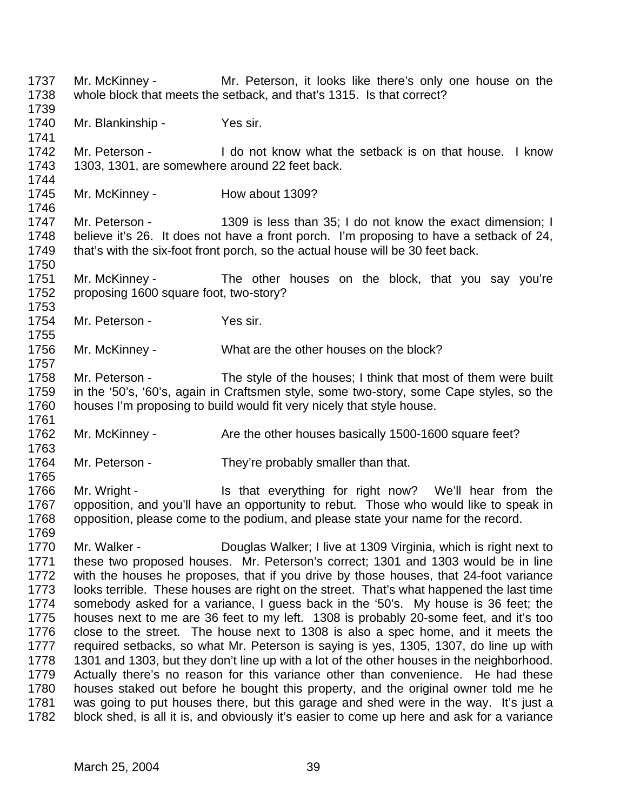Mr. McKinney - Mr. Peterson, it looks like there's only one house on the whole block that meets the setback, and that's 1315. Is that correct? 1740 Mr. Blankinship - Yes sir. Mr. Peterson - I do not know what the setback is on that house. I know 1303, 1301, are somewhere around 22 feet back. 1745 Mr. McKinney - How about 1309? Mr. Peterson - 1309 is less than 35; I do not know the exact dimension; I believe it's 26. It does not have a front porch. I'm proposing to have a setback of 24, that's with the six-foot front porch, so the actual house will be 30 feet back. Mr. McKinney - The other houses on the block, that you say you're proposing 1600 square foot, two-story? 1754 Mr. Peterson - Yes sir. Mr. McKinney - What are the other houses on the block? Mr. Peterson - The style of the houses; I think that most of them were built in the '50's, '60's, again in Craftsmen style, some two-story, some Cape styles, so the houses I'm proposing to build would fit very nicely that style house. 1762 Mr. McKinney - Are the other houses basically 1500-1600 square feet? 1764 Mr. Peterson - They're probably smaller than that. 1766 Mr. Wright - Is that everything for right now? We'll hear from the opposition, and you'll have an opportunity to rebut. Those who would like to speak in opposition, please come to the podium, and please state your name for the record. Mr. Walker - Douglas Walker; I live at 1309 Virginia, which is right next to these two proposed houses. Mr. Peterson's correct; 1301 and 1303 would be in line with the houses he proposes, that if you drive by those houses, that 24-foot variance looks terrible. These houses are right on the street. That's what happened the last time somebody asked for a variance, I guess back in the '50's. My house is 36 feet; the houses next to me are 36 feet to my left. 1308 is probably 20-some feet, and it's too close to the street. The house next to 1308 is also a spec home, and it meets the required setbacks, so what Mr. Peterson is saying is yes, 1305, 1307, do line up with 1301 and 1303, but they don't line up with a lot of the other houses in the neighborhood. Actually there's no reason for this variance other than convenience. He had these houses staked out before he bought this property, and the original owner told me he was going to put houses there, but this garage and shed were in the way. It's just a block shed, is all it is, and obviously it's easier to come up here and ask for a variance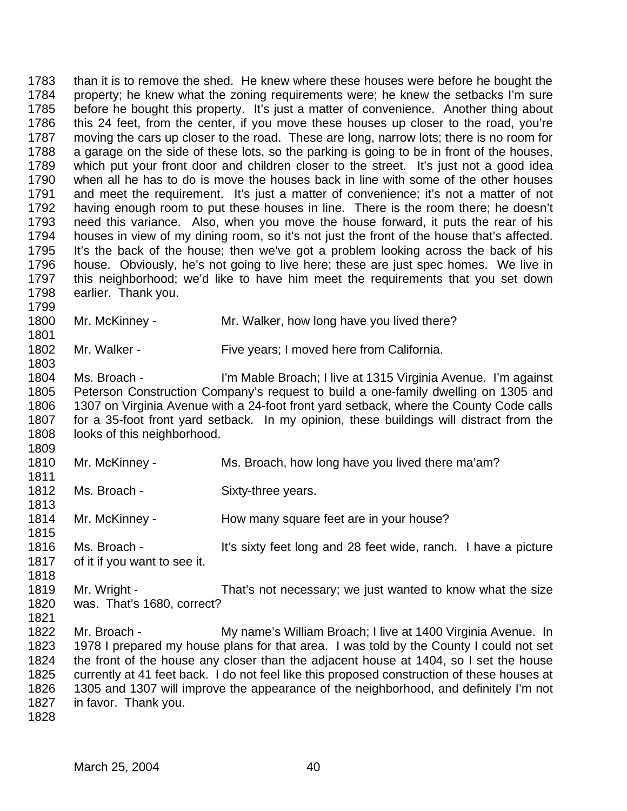than it is to remove the shed. He knew where these houses were before he bought the property; he knew what the zoning requirements were; he knew the setbacks I'm sure before he bought this property. It's just a matter of convenience. Another thing about this 24 feet, from the center, if you move these houses up closer to the road, you're moving the cars up closer to the road. These are long, narrow lots; there is no room for 1788 a garage on the side of these lots, so the parking is going to be in front of the houses, which put your front door and children closer to the street. It's just not a good idea when all he has to do is move the houses back in line with some of the other houses and meet the requirement. It's just a matter of convenience; it's not a matter of not having enough room to put these houses in line. There is the room there; he doesn't need this variance. Also, when you move the house forward, it puts the rear of his houses in view of my dining room, so it's not just the front of the house that's affected. It's the back of the house; then we've got a problem looking across the back of his house. Obviously, he's not going to live here; these are just spec homes. We live in this neighborhood; we'd like to have him meet the requirements that you set down earlier. Thank you. 1800 Mr. McKinney - Mr. Walker, how long have you lived there?

1802 Mr. Walker - Five years; I moved here from California.

 Ms. Broach - I'm Mable Broach; I live at 1315 Virginia Avenue. I'm against Peterson Construction Company's request to build a one-family dwelling on 1305 and 1307 on Virginia Avenue with a 24-foot front yard setback, where the County Code calls for a 35-foot front yard setback. In my opinion, these buildings will distract from the 1808 looks of this neighborhood. 

- 1810 Mr. McKinney Ms. Broach, how long have you lived there ma'am?
- 1812 Ms. Broach Sixty-three years.
- 1814 Mr. McKinney How many square feet are in your house?
- Ms. Broach It's sixty feet long and 28 feet wide, ranch. I have a picture of it if you want to see it.
- 1819 Mr. Wright That's not necessary; we just wanted to know what the size was. That's 1680, correct?
- Mr. Broach - My name's William Broach; I live at 1400 Virginia Avenue. In 1978 I prepared my house plans for that area. I was told by the County I could not set the front of the house any closer than the adjacent house at 1404, so I set the house currently at 41 feet back. I do not feel like this proposed construction of these houses at 1305 and 1307 will improve the appearance of the neighborhood, and definitely I'm not in favor. Thank you.
-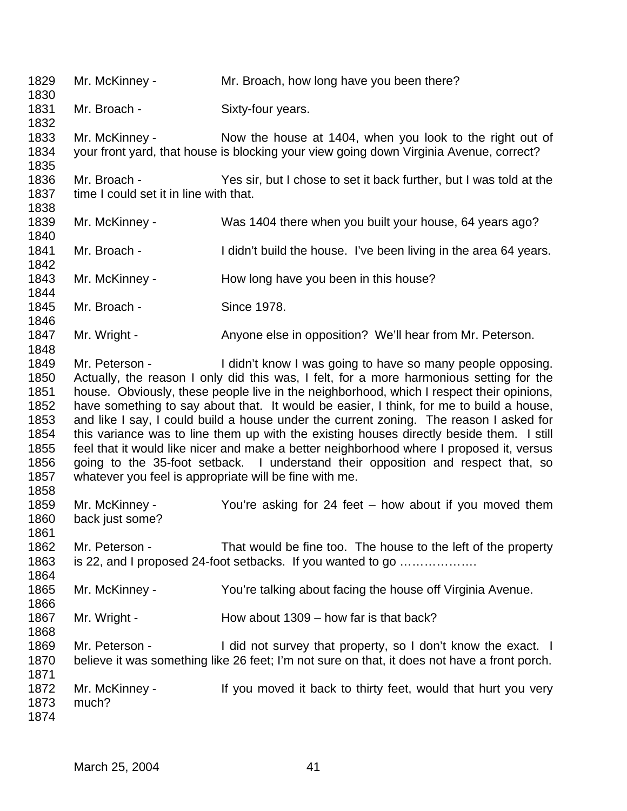Mr. McKinney - Mr. Broach, how long have you been there? 1831 Mr. Broach - Sixty-four years. Mr. McKinney - Now the house at 1404, when you look to the right out of your front yard, that house is blocking your view going down Virginia Avenue, correct? Mr. Broach - Yes sir, but I chose to set it back further, but I was told at the 1837 time I could set it in line with that. Mr. McKinney - Was 1404 there when you built your house, 64 years ago? 1841 Mr. Broach - I didn't build the house. I've been living in the area 64 years. 1843 Mr. McKinney - How long have you been in this house? Mr. Broach - Since 1978. 1847 Mr. Wright - Anyone else in opposition? We'll hear from Mr. Peterson. Mr. Peterson - I didn't know I was going to have so many people opposing. Actually, the reason I only did this was, I felt, for a more harmonious setting for the house. Obviously, these people live in the neighborhood, which I respect their opinions, have something to say about that. It would be easier, I think, for me to build a house, and like I say, I could build a house under the current zoning. The reason I asked for this variance was to line them up with the existing houses directly beside them. I still feel that it would like nicer and make a better neighborhood where I proposed it, versus going to the 35-foot setback. I understand their opposition and respect that, so whatever you feel is appropriate will be fine with me. Mr. McKinney - You're asking for 24 feet – how about if you moved them back just some? Mr. Peterson - That would be fine too. The house to the left of the property is 22, and I proposed 24-foot setbacks. If you wanted to go ………………. Mr. McKinney - You're talking about facing the house off Virginia Avenue. 1867 Mr. Wright - How about 1309 – how far is that back? 1869 Mr. Peterson - I did not survey that property, so I don't know the exact. I believe it was something like 26 feet; I'm not sure on that, it does not have a front porch. 1872 Mr. McKinney - If you moved it back to thirty feet, would that hurt you very much?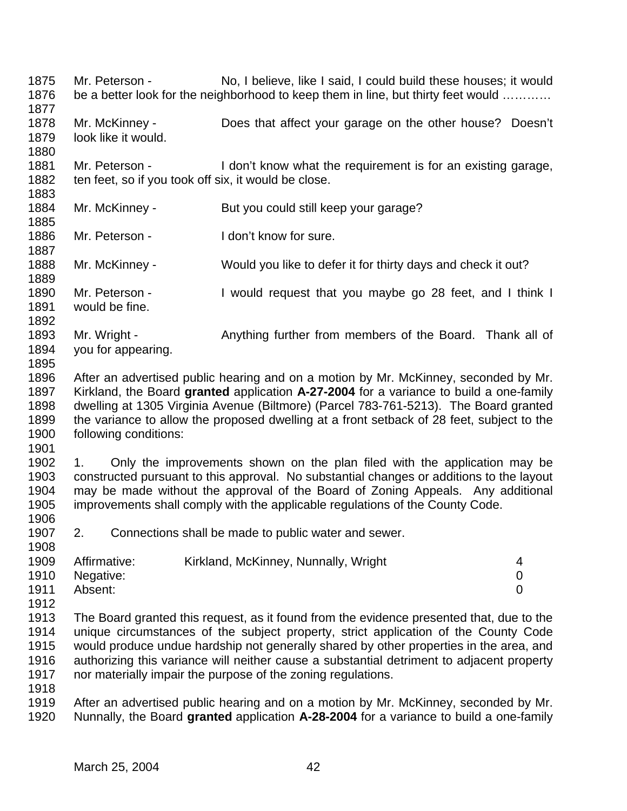Mr. Peterson - No, I believe, like I said, I could build these houses; it would 1876 be a better look for the neighborhood to keep them in line, but thirty feet would ………… Mr. McKinney - Does that affect your garage on the other house? Doesn't look like it would. 1881 Mr. Peterson - I don't know what the requirement is for an existing garage, 1882 ten feet, so if you took off six, it would be close. 1884 Mr. McKinney - But you could still keep your garage? 1886 Mr. Peterson - I don't know for sure. Mr. McKinney - Would you like to defer it for thirty days and check it out? Mr. Peterson - I would request that you maybe go 28 feet, and I think I would be fine. 1893 Mr. Wright - Anything further from members of the Board. Thank all of you for appearing. After an advertised public hearing and on a motion by Mr. McKinney, seconded by Mr. Kirkland, the Board **granted** application **A-27-2004** for a variance to build a one-family dwelling at 1305 Virginia Avenue (Biltmore) (Parcel 783-761-5213). The Board granted the variance to allow the proposed dwelling at a front setback of 28 feet, subject to the following conditions: 1. Only the improvements shown on the plan filed with the application may be constructed pursuant to this approval. No substantial changes or additions to the layout may be made without the approval of the Board of Zoning Appeals. Any additional improvements shall comply with the applicable regulations of the County Code. 2. Connections shall be made to public water and sewer. 1909 Affirmative: Kirkland, McKinney, Nunnally, Wright 4 Negative: 0 Absent: 0 1913 The Board granted this request, as it found from the evidence presented that, due to the 1914 unique circumstances of the subject property, strict application of the County Code unique circumstances of the subject property, strict application of the County Code would produce undue hardship not generally shared by other properties in the area, and authorizing this variance will neither cause a substantial detriment to adjacent property nor materially impair the purpose of the zoning regulations. After an advertised public hearing and on a motion by Mr. McKinney, seconded by Mr. Nunnally, the Board **granted** application **A-28-2004** for a variance to build a one-family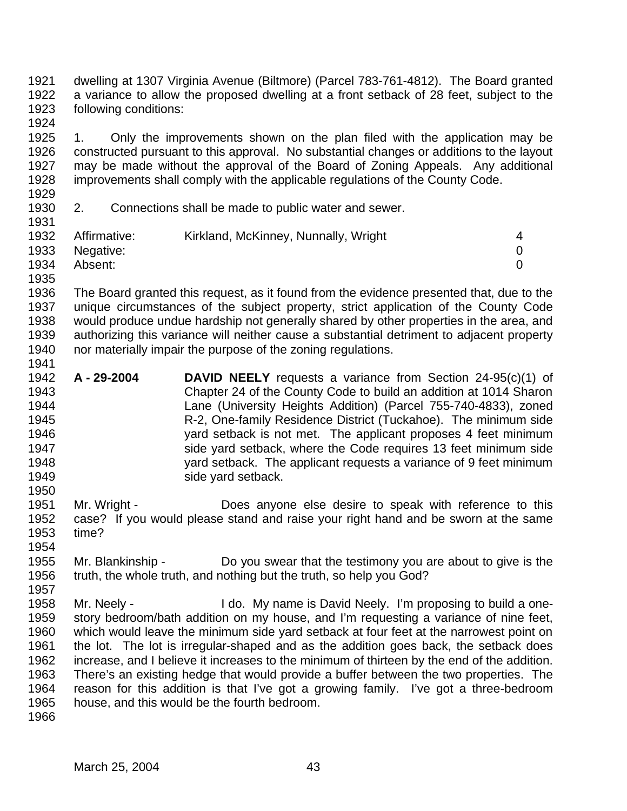- dwelling at 1307 Virginia Avenue (Biltmore) (Parcel 783-761-4812). The Board granted a variance to allow the proposed dwelling at a front setback of 28 feet, subject to the following conditions:
- 1. Only the improvements shown on the plan filed with the application may be constructed pursuant to this approval. No substantial changes or additions to the layout may be made without the approval of the Board of Zoning Appeals. Any additional improvements shall comply with the applicable regulations of the County Code.
- 

2. Connections shall be made to public water and sewer.

| .    |              |                                      |                |
|------|--------------|--------------------------------------|----------------|
| 1932 | Affirmative: | Kirkland, McKinney, Nunnally, Wright | $\overline{4}$ |
| 1933 | Negative:    |                                      |                |
| 1934 | Absent:      |                                      |                |
| 1935 |              |                                      |                |

- The Board granted this request, as it found from the evidence presented that, due to the unique circumstances of the subject property, strict application of the County Code would produce undue hardship not generally shared by other properties in the area, and authorizing this variance will neither cause a substantial detriment to adjacent property nor materially impair the purpose of the zoning regulations.
- **A 29-2004 DAVID NEELY** requests a variance from Section 24-95(c)(1) of Chapter 24 of the County Code to build an addition at 1014 Sharon Lane (University Heights Addition) (Parcel 755-740-4833), zoned R-2, One-family Residence District (Tuckahoe). The minimum side yard setback is not met. The applicant proposes 4 feet minimum side yard setback, where the Code requires 13 feet minimum side yard setback. The applicant requests a variance of 9 feet minimum **side yard setback.**
- Mr. Wright Does anyone else desire to speak with reference to this case? If you would please stand and raise your right hand and be sworn at the same time?
- Mr. Blankinship Do you swear that the testimony you are about to give is the truth, the whole truth, and nothing but the truth, so help you God?
- Mr. Neely I do. My name is David Neely. I'm proposing to build a one- story bedroom/bath addition on my house, and I'm requesting a variance of nine feet, which would leave the minimum side yard setback at four feet at the narrowest point on the lot. The lot is irregular-shaped and as the addition goes back, the setback does increase, and I believe it increases to the minimum of thirteen by the end of the addition. There's an existing hedge that would provide a buffer between the two properties. The reason for this addition is that I've got a growing family. I've got a three-bedroom house, and this would be the fourth bedroom.
-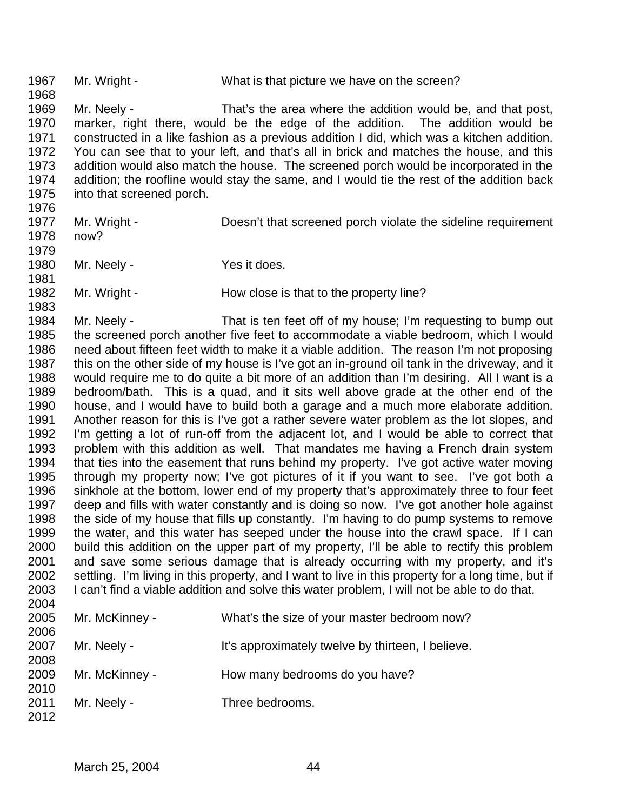1967 Mr. Wright - What is that picture we have on the screen? Mr. Neely - That's the area where the addition would be, and that post, marker, right there, would be the edge of the addition. The addition would be constructed in a like fashion as a previous addition I did, which was a kitchen addition. You can see that to your left, and that's all in brick and matches the house, and this addition would also match the house. The screened porch would be incorporated in the addition; the roofline would stay the same, and I would tie the rest of the addition back into that screened porch. 1977 Mr. Wright - Doesn't that screened porch violate the sideline requirement now? 1980 Mr. Neely - Yes it does. 1982 Mr. Wright - How close is that to the property line? Mr. Neely - That is ten feet off of my house; I'm requesting to bump out the screened porch another five feet to accommodate a viable bedroom, which I would need about fifteen feet width to make it a viable addition. The reason I'm not proposing this on the other side of my house is I've got an in-ground oil tank in the driveway, and it would require me to do quite a bit more of an addition than I'm desiring. All I want is a bedroom/bath. This is a quad, and it sits well above grade at the other end of the house, and I would have to build both a garage and a much more elaborate addition. Another reason for this is I've got a rather severe water problem as the lot slopes, and I'm getting a lot of run-off from the adjacent lot, and I would be able to correct that problem with this addition as well. That mandates me having a French drain system that ties into the easement that runs behind my property. I've got active water moving through my property now; I've got pictures of it if you want to see. I've got both a sinkhole at the bottom, lower end of my property that's approximately three to four feet deep and fills with water constantly and is doing so now. I've got another hole against the side of my house that fills up constantly. I'm having to do pump systems to remove the water, and this water has seeped under the house into the crawl space. If I can build this addition on the upper part of my property, I'll be able to rectify this problem and save some serious damage that is already occurring with my property, and it's settling. I'm living in this property, and I want to live in this property for a long time, but if I can't find a viable addition and solve this water problem, I will not be able to do that. Mr. McKinney - What's the size of your master bedroom now? 2007 Mr. Neely - It's approximately twelve by thirteen, I believe. Mr. McKinney - How many bedrooms do you have? 2011 Mr. Neely - Three bedrooms.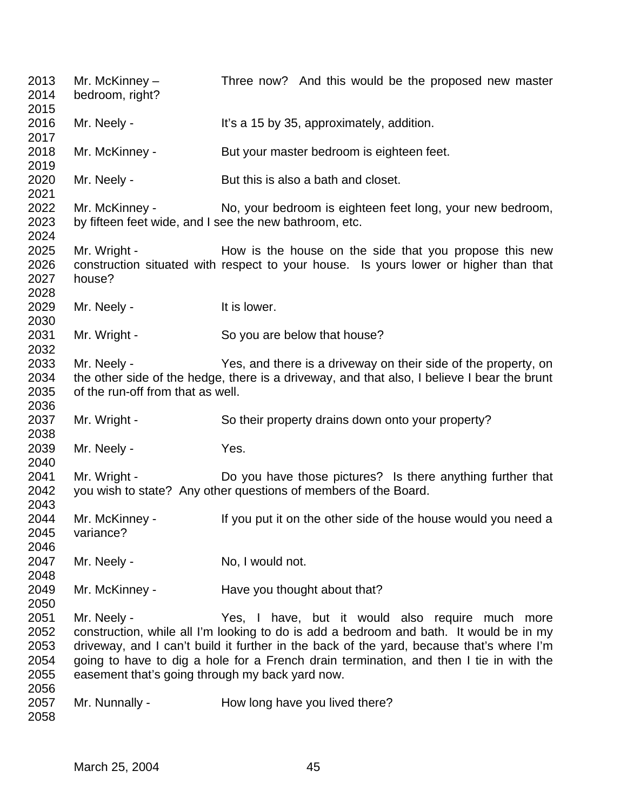| 2013<br>2014                         | Mr. McKinney $-$<br>bedroom, right?                            | Three now? And this would be the proposed new master                                                                                                                                                                                                                                                                             |
|--------------------------------------|----------------------------------------------------------------|----------------------------------------------------------------------------------------------------------------------------------------------------------------------------------------------------------------------------------------------------------------------------------------------------------------------------------|
| 2015<br>2016<br>2017                 | Mr. Neely -                                                    | It's a 15 by 35, approximately, addition.                                                                                                                                                                                                                                                                                        |
| 2018<br>2019                         | Mr. McKinney -                                                 | But your master bedroom is eighteen feet.                                                                                                                                                                                                                                                                                        |
| 2020<br>2021                         | Mr. Neely -                                                    | But this is also a bath and closet.                                                                                                                                                                                                                                                                                              |
| 2022<br>2023<br>2024                 | Mr. McKinney -                                                 | No, your bedroom is eighteen feet long, your new bedroom,<br>by fifteen feet wide, and I see the new bathroom, etc.                                                                                                                                                                                                              |
| 2025<br>2026<br>2027<br>2028         | Mr. Wright -<br>house?                                         | How is the house on the side that you propose this new<br>construction situated with respect to your house. Is yours lower or higher than that                                                                                                                                                                                   |
| 2029<br>2030                         | Mr. Neely -                                                    | It is lower.                                                                                                                                                                                                                                                                                                                     |
| 2031<br>2032                         | Mr. Wright -                                                   | So you are below that house?                                                                                                                                                                                                                                                                                                     |
| 2033<br>2034<br>2035<br>2036         | Mr. Neely -<br>of the run-off from that as well.               | Yes, and there is a driveway on their side of the property, on<br>the other side of the hedge, there is a driveway, and that also, I believe I bear the brunt                                                                                                                                                                    |
| 2037<br>2038                         | Mr. Wright -                                                   | So their property drains down onto your property?                                                                                                                                                                                                                                                                                |
| 2039<br>2040                         | Mr. Neely -                                                    | Yes.                                                                                                                                                                                                                                                                                                                             |
| 2041<br>2042<br>2043                 | Mr. Wright -                                                   | Do you have those pictures? Is there anything further that<br>you wish to state? Any other questions of members of the Board.                                                                                                                                                                                                    |
| 2044<br>2045<br>2046                 | Mr. McKinney -<br>variance?                                    | If you put it on the other side of the house would you need a                                                                                                                                                                                                                                                                    |
| 2047<br>2048                         | Mr. Neely -                                                    | No, I would not.                                                                                                                                                                                                                                                                                                                 |
| 2049<br>2050                         | Mr. McKinney -                                                 | Have you thought about that?                                                                                                                                                                                                                                                                                                     |
| 2051<br>2052<br>2053<br>2054<br>2055 | Mr. Neely -<br>easement that's going through my back yard now. | Yes, I have, but it would also require much more<br>construction, while all I'm looking to do is add a bedroom and bath. It would be in my<br>driveway, and I can't build it further in the back of the yard, because that's where I'm<br>going to have to dig a hole for a French drain termination, and then I tie in with the |
| 2056<br>2057<br>2058                 | Mr. Nunnally -                                                 | How long have you lived there?                                                                                                                                                                                                                                                                                                   |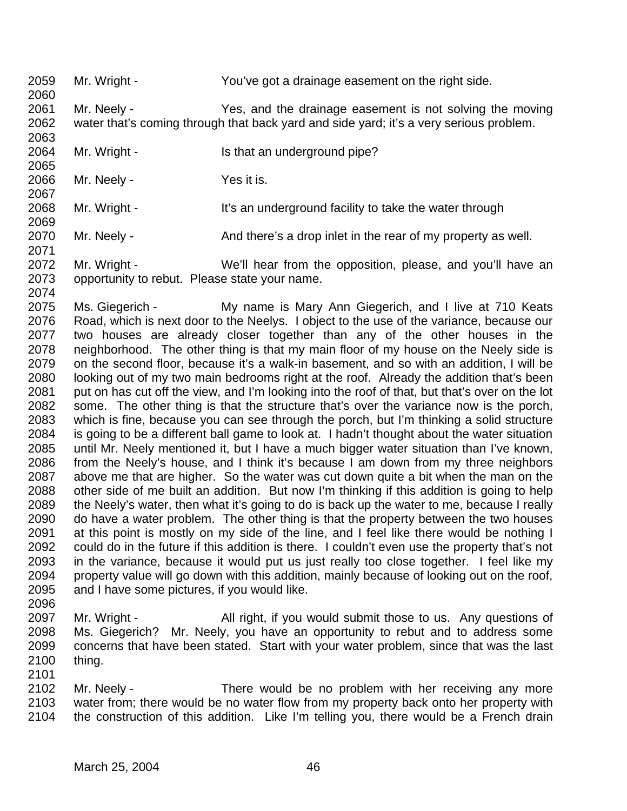Mr. Wright - You've got a drainage easement on the right side.

 Mr. Neely - Yes, and the drainage easement is not solving the moving water that's coming through that back yard and side yard; it's a very serious problem. 

- 2064 Mr. Wright Is that an underground pipe?
- 2066 Mr. Neely Yes it is.

2068 Mr. Wright - It's an underground facility to take the water through

2070 Mr. Neely - And there's a drop inlet in the rear of my property as well.

 Mr. Wright - We'll hear from the opposition, please, and you'll have an opportunity to rebut. Please state your name.

2075 Ms. Giegerich - My name is Mary Ann Giegerich, and I live at 710 Keats Road, which is next door to the Neelys. I object to the use of the variance, because our two houses are already closer together than any of the other houses in the neighborhood. The other thing is that my main floor of my house on the Neely side is on the second floor, because it's a walk-in basement, and so with an addition, I will be looking out of my two main bedrooms right at the roof. Already the addition that's been 2081 put on has cut off the view, and I'm looking into the roof of that, but that's over on the lot 2082 some. The other thing is that the structure that's over the variance now is the porch, 2083 which is fine. because you can see through the porch. which is fine, because you can see through the porch, but I'm thinking a solid structure is going to be a different ball game to look at. I hadn't thought about the water situation until Mr. Neely mentioned it, but I have a much bigger water situation than I've known, from the Neely's house, and I think it's because I am down from my three neighbors above me that are higher. So the water was cut down quite a bit when the man on the other side of me built an addition. But now I'm thinking if this addition is going to help the Neely's water, then what it's going to do is back up the water to me, because I really do have a water problem. The other thing is that the property between the two houses at this point is mostly on my side of the line, and I feel like there would be nothing I could do in the future if this addition is there. I couldn't even use the property that's not in the variance, because it would put us just really too close together. I feel like my 2094 property value will go down with this addition, mainly because of looking out on the roof, and I have some pictures, if you would like.

 Mr. Wright - All right, if you would submit those to us. Any questions of Ms. Giegerich? Mr. Neely, you have an opportunity to rebut and to address some concerns that have been stated. Start with your water problem, since that was the last thing.

 Mr. Neely - There would be no problem with her receiving any more water from; there would be no water flow from my property back onto her property with the construction of this addition. Like I'm telling you, there would be a French drain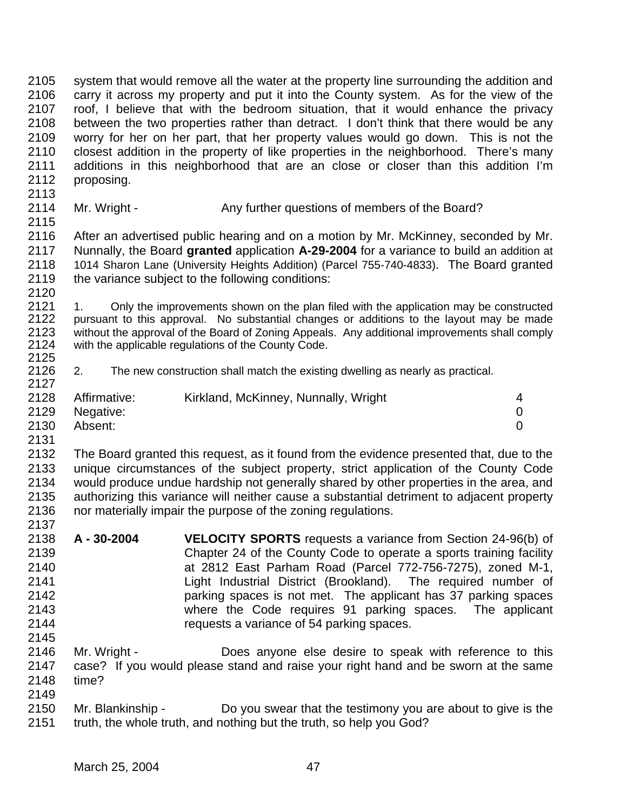system that would remove all the water at the property line surrounding the addition and carry it across my property and put it into the County system. As for the view of the roof, I believe that with the bedroom situation, that it would enhance the privacy between the two properties rather than detract. I don't think that there would be any worry for her on her part, that her property values would go down. This is not the closest addition in the property of like properties in the neighborhood. There's many additions in this neighborhood that are an close or closer than this addition I'm proposing. 

2114 Mr. Wright - Any further questions of members of the Board?

 After an advertised public hearing and on a motion by Mr. McKinney, seconded by Mr. Nunnally, the Board **granted** application **A-29-2004** for a variance to build an addition at 2118 1014 Sharon Lane (University Heights Addition) (Parcel 755-740-4833). The Board granted 2119 the variance subject to the following conditions: the variance subject to the following conditions:

 1. Only the improvements shown on the plan filed with the application may be constructed pursuant to this approval. No substantial changes or additions to the layout may be made without the approval of the Board of Zoning Appeals. Any additional improvements shall comply with the applicable regulations of the County Code. 

 2. The new construction shall match the existing dwelling as nearly as practical. 

| 2128 | Affirmative: | Kirkland, McKinney, Nunnally, Wright |  |
|------|--------------|--------------------------------------|--|
| 2129 | Negative:    |                                      |  |
| 2130 | Absent:      |                                      |  |
| 2131 |              |                                      |  |

- The Board granted this request, as it found from the evidence presented that, due to the unique circumstances of the subject property, strict application of the County Code would produce undue hardship not generally shared by other properties in the area, and authorizing this variance will neither cause a substantial detriment to adjacent property nor materially impair the purpose of the zoning regulations.
- **A 30-2004 VELOCITY SPORTS** requests a variance from Section 24-96(b) of Chapter 24 of the County Code to operate a sports training facility at 2812 East Parham Road (Parcel 772-756-7275), zoned M-1, Light Industrial District (Brookland). The required number of parking spaces is not met. The applicant has 37 parking spaces where the Code requires 91 parking spaces. The applicant requests a variance of 54 parking spaces.
- Mr. Wright Does anyone else desire to speak with reference to this case? If you would please stand and raise your right hand and be sworn at the same time?
- Mr. Blankinship Do you swear that the testimony you are about to give is the truth, the whole truth, and nothing but the truth, so help you God?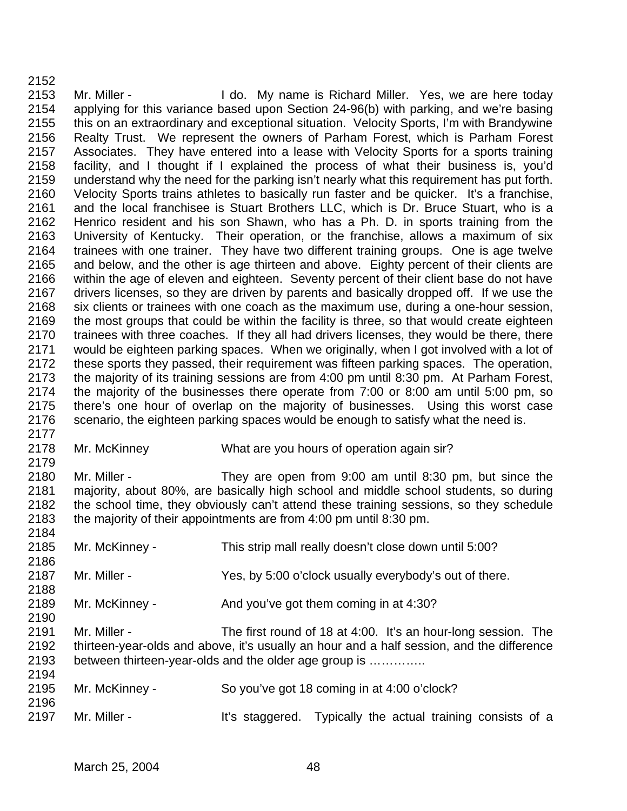Mr. Miller - I do. My name is Richard Miller. Yes, we are here today applying for this variance based upon Section 24-96(b) with parking, and we're basing this on an extraordinary and exceptional situation. Velocity Sports, I'm with Brandywine Realty Trust. We represent the owners of Parham Forest, which is Parham Forest Associates. They have entered into a lease with Velocity Sports for a sports training facility, and I thought if I explained the process of what their business is, you'd understand why the need for the parking isn't nearly what this requirement has put forth. Velocity Sports trains athletes to basically run faster and be quicker. It's a franchise, and the local franchisee is Stuart Brothers LLC, which is Dr. Bruce Stuart, who is a Henrico resident and his son Shawn, who has a Ph. D. in sports training from the University of Kentucky. Their operation, or the franchise, allows a maximum of six trainees with one trainer. They have two different training groups. One is age twelve and below, and the other is age thirteen and above. Eighty percent of their clients are within the age of eleven and eighteen. Seventy percent of their client base do not have drivers licenses, so they are driven by parents and basically dropped off. If we use the six clients or trainees with one coach as the maximum use, during a one-hour session, 2169 the most groups that could be within the facility is three, so that would create eighteen 2170 trainees with three coaches. If they all had drivers licenses, they would be there, there<br>2171 would be eighteen parking spaces. When we originally, when I got involved with a lot of would be eighteen parking spaces. When we originally, when I got involved with a lot of these sports they passed, their requirement was fifteen parking spaces. The operation, the majority of its training sessions are from 4:00 pm until 8:30 pm. At Parham Forest, the majority of the businesses there operate from 7:00 or 8:00 am until 5:00 pm, so there's one hour of overlap on the majority of businesses. Using this worst case scenario, the eighteen parking spaces would be enough to satisfy what the need is. 

Mr. McKinney What are you hours of operation again sir?

 Mr. Miller - They are open from 9:00 am until 8:30 pm, but since the majority, about 80%, are basically high school and middle school students, so during the school time, they obviously can't attend these training sessions, so they schedule the majority of their appointments are from 4:00 pm until 8:30 pm.

- Mr. McKinney This strip mall really doesn't close down until 5:00? Mr. Miller - Yes, by 5:00 o'clock usually everybody's out of there.
- Mr. McKinney And you've got them coming in at 4:30?
- Mr. Miller The first round of 18 at 4:00. It's an hour-long session. The thirteen-year-olds and above, it's usually an hour and a half session, and the difference between thirteen-year-olds and the older age group is …………..

| 2195<br>2196 | Mr. McKinney - | So you've got 18 coming in at 4:00 o'clock?                 |  |  |  |
|--------------|----------------|-------------------------------------------------------------|--|--|--|
| 2197         | Mr. Miller -   | It's staggered. Typically the actual training consists of a |  |  |  |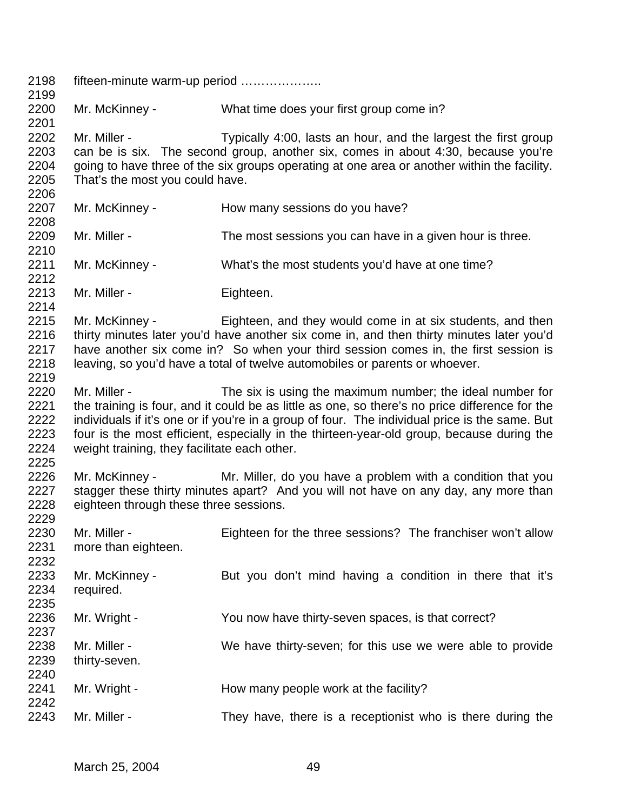| 2198<br>2199                                 | fifteen-minute warm-up period                                                                                                                                                                                                                                                                                                                                                                                              |                                                                                                                                                    |  |  |  |
|----------------------------------------------|----------------------------------------------------------------------------------------------------------------------------------------------------------------------------------------------------------------------------------------------------------------------------------------------------------------------------------------------------------------------------------------------------------------------------|----------------------------------------------------------------------------------------------------------------------------------------------------|--|--|--|
| 2200<br>2201                                 | Mr. McKinney -                                                                                                                                                                                                                                                                                                                                                                                                             | What time does your first group come in?                                                                                                           |  |  |  |
| 2202<br>2203<br>2204<br>2205<br>2206         | Mr. Miller -<br>Typically 4:00, lasts an hour, and the largest the first group<br>can be is six. The second group, another six, comes in about 4:30, because you're<br>going to have three of the six groups operating at one area or another within the facility.<br>That's the most you could have.                                                                                                                      |                                                                                                                                                    |  |  |  |
| 2207<br>2208                                 | Mr. McKinney -                                                                                                                                                                                                                                                                                                                                                                                                             | How many sessions do you have?                                                                                                                     |  |  |  |
| 2209<br>2210                                 | Mr. Miller -                                                                                                                                                                                                                                                                                                                                                                                                               | The most sessions you can have in a given hour is three.                                                                                           |  |  |  |
| 2211<br>2212                                 | Mr. McKinney -                                                                                                                                                                                                                                                                                                                                                                                                             | What's the most students you'd have at one time?                                                                                                   |  |  |  |
| 2213<br>2214                                 | Mr. Miller -                                                                                                                                                                                                                                                                                                                                                                                                               | Eighteen.                                                                                                                                          |  |  |  |
| 2215<br>2216<br>2217<br>2218<br>2219         | Mr. McKinney -<br>Eighteen, and they would come in at six students, and then<br>thirty minutes later you'd have another six come in, and then thirty minutes later you'd<br>have another six come in? So when your third session comes in, the first session is<br>leaving, so you'd have a total of twelve automobiles or parents or whoever.                                                                             |                                                                                                                                                    |  |  |  |
| 2220<br>2221<br>2222<br>2223<br>2224<br>2225 | Mr. Miller -<br>The six is using the maximum number; the ideal number for<br>the training is four, and it could be as little as one, so there's no price difference for the<br>individuals if it's one or if you're in a group of four. The individual price is the same. But<br>four is the most efficient, especially in the thirteen-year-old group, because during the<br>weight training, they facilitate each other. |                                                                                                                                                    |  |  |  |
| 2226<br>2227<br>2228<br>2229                 | Mr. McKinney -<br>eighteen through these three sessions.                                                                                                                                                                                                                                                                                                                                                                   | Mr. Miller, do you have a problem with a condition that you<br>stagger these thirty minutes apart? And you will not have on any day, any more than |  |  |  |
| 2230<br>2231<br>2232                         | Mr. Miller -<br>more than eighteen.                                                                                                                                                                                                                                                                                                                                                                                        | Eighteen for the three sessions? The franchiser won't allow                                                                                        |  |  |  |
| 2233<br>2234<br>2235                         | Mr. McKinney -<br>required.                                                                                                                                                                                                                                                                                                                                                                                                | But you don't mind having a condition in there that it's                                                                                           |  |  |  |
| 2236<br>2237                                 | Mr. Wright -                                                                                                                                                                                                                                                                                                                                                                                                               | You now have thirty-seven spaces, is that correct?                                                                                                 |  |  |  |
| 2238<br>2239<br>2240                         | Mr. Miller -<br>thirty-seven.                                                                                                                                                                                                                                                                                                                                                                                              | We have thirty-seven; for this use we were able to provide                                                                                         |  |  |  |
| 2241<br>2242                                 | Mr. Wright -                                                                                                                                                                                                                                                                                                                                                                                                               | How many people work at the facility?                                                                                                              |  |  |  |
| 2243                                         | Mr. Miller -                                                                                                                                                                                                                                                                                                                                                                                                               | They have, there is a receptionist who is there during the                                                                                         |  |  |  |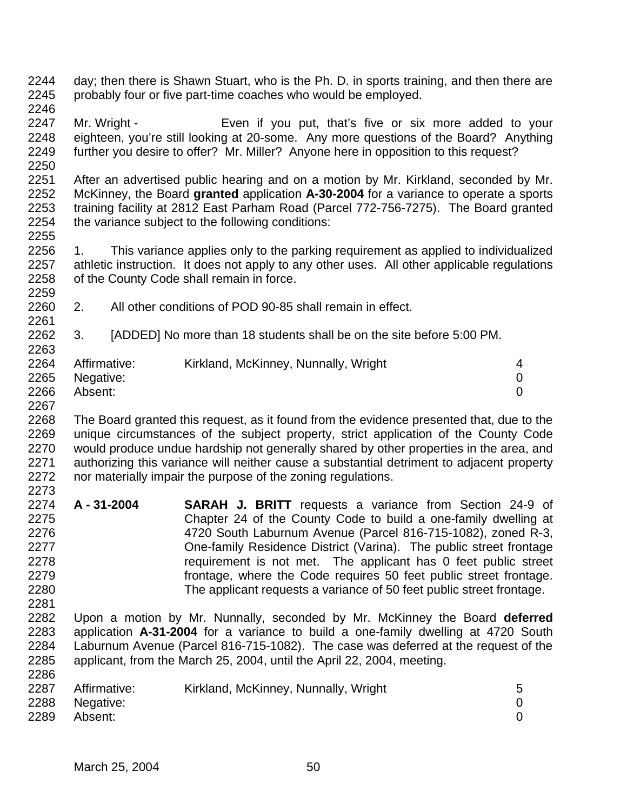- day; then there is Shawn Stuart, who is the Ph. D. in sports training, and then there are probably four or five part-time coaches who would be employed.
- 

- Mr. Wright Even if you put, that's five or six more added to your eighteen, you're still looking at 20-some. Any more questions of the Board? Anything further you desire to offer? Mr. Miller? Anyone here in opposition to this request?
- After an advertised public hearing and on a motion by Mr. Kirkland, seconded by Mr. McKinney, the Board **granted** application **A-30-2004** for a variance to operate a sports 2253 training facility at 2812 East Parham Road (Parcel 772-756-7275). The Board granted 2254 the variance subject to the following conditions: the variance subject to the following conditions:
- 1. This variance applies only to the parking requirement as applied to individualized athletic instruction. It does not apply to any other uses. All other applicable regulations of the County Code shall remain in force.
- 2. All other conditions of POD 90-85 shall remain in effect.
- 3. [ADDED] No more than 18 students shall be on the site before 5:00 PM.

| 2264 | Affirmative:   | Kirkland, McKinney, Nunnally, Wright |  |
|------|----------------|--------------------------------------|--|
|      | 2265 Negative: |                                      |  |
| 2266 | Absent:        |                                      |  |

2267<br>2268

The Board granted this request, as it found from the evidence presented that, due to the unique circumstances of the subject property, strict application of the County Code would produce undue hardship not generally shared by other properties in the area, and authorizing this variance will neither cause a substantial detriment to adjacent property nor materially impair the purpose of the zoning regulations. 

- **A 31-2004 SARAH J. BRITT** requests a variance from Section 24-9 of Chapter 24 of the County Code to build a one-family dwelling at 4720 South Laburnum Avenue (Parcel 816-715-1082), zoned R-3, One-family Residence District (Varina). The public street frontage **requirement is not met.** The applicant has 0 feet public street frontage, where the Code requires 50 feet public street frontage. The applicant requests a variance of 50 feet public street frontage.
- Upon a motion by Mr. Nunnally, seconded by Mr. McKinney the Board **deferred** application **A-31-2004** for a variance to build a one-family dwelling at 4720 South Laburnum Avenue (Parcel 816-715-1082). The case was deferred at the request of the applicant, from the March 25, 2004, until the April 22, 2004, meeting.

| 2287 | Affirmative:<br>2288 Negative:<br>Absent: | Kirkland, McKinney, Nunnally, Wright | 5 |
|------|-------------------------------------------|--------------------------------------|---|
| 2289 |                                           |                                      |   |